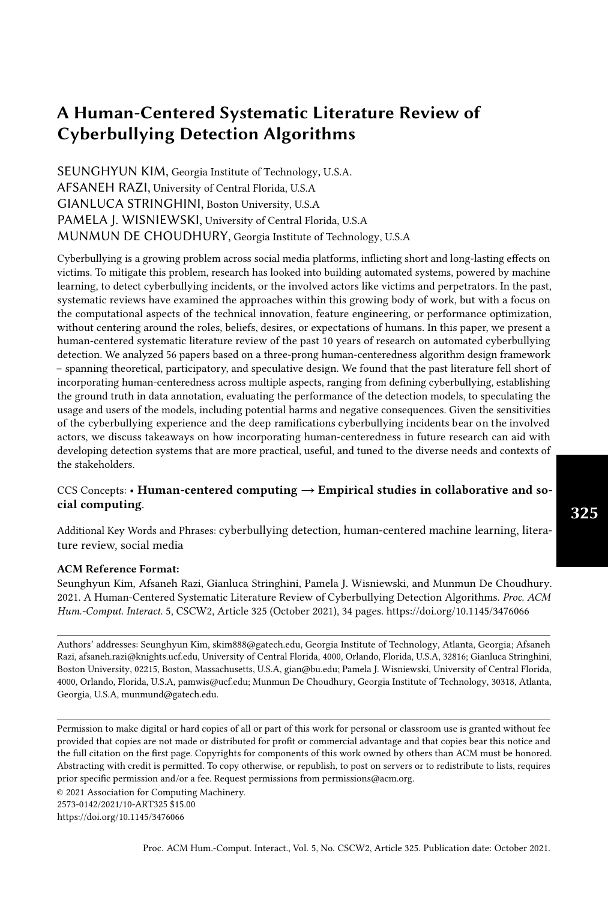SEUNGHYUN KIM, Georgia Institute of Technology, U.S.A. AFSANEH RAZI, University of Central Florida, U.S.A GIANLUCA STRINGHINI, Boston University, U.S.A PAMELA J. WISNIEWSKI, University of Central Florida, U.S.A MUNMUN DE CHOUDHURY, Georgia Institute of Technology, U.S.A

Cyberbullying is a growing problem across social media platforms, inflicting short and long-lasting effects on victims. To mitigate this problem, research has looked into building automated systems, powered by machine learning, to detect cyberbullying incidents, or the involved actors like victims and perpetrators. In the past, systematic reviews have examined the approaches within this growing body of work, but with a focus on the computational aspects of the technical innovation, feature engineering, or performance optimization, without centering around the roles, beliefs, desires, or expectations of humans. In this paper, we present a human-centered systematic literature review of the past 10 years of research on automated cyberbullying detection. We analyzed 56 papers based on a three-prong human-centeredness algorithm design framework – spanning theoretical, participatory, and speculative design. We found that the past literature fell short of incorporating human-centeredness across multiple aspects, ranging from defining cyberbullying, establishing the ground truth in data annotation, evaluating the performance of the detection models, to speculating the usage and users of the models, including potential harms and negative consequences. Given the sensitivities of the cyberbullying experience and the deep ramifications cyberbullying incidents bear on the involved actors, we discuss takeaways on how incorporating human-centeredness in future research can aid with developing detection systems that are more practical, useful, and tuned to the diverse needs and contexts of the stakeholders.

# CCS Concepts: • Human-centered computing  $\rightarrow$  Empirical studies in collaborative and social computing.

Additional Key Words and Phrases: cyberbullying detection, human-centered machine learning, literature review, social media

#### ACM Reference Format:

Seunghyun Kim, Afsaneh Razi, Gianluca Stringhini, Pamela J. Wisniewski, and Munmun De Choudhury. 2021. A Human-Centered Systematic Literature Review of Cyberbullying Detection Algorithms. Proc. ACM Hum.-Comput. Interact. 5, CSCW2, Article 325 (October 2021), [34](#page-33-0) pages. <https://doi.org/10.1145/3476066>

Authors' addresses: Seunghyun Kim, skim888@gatech.edu, Georgia Institute of Technology, Atlanta, Georgia; Afsaneh Razi, afsaneh.razi@knights.ucf.edu, University of Central Florida, 4000, Orlando, Florida, U.S.A, 32816; Gianluca Stringhini, Boston University, 02215, Boston, Massachusetts, U.S.A, gian@bu.edu; Pamela J. Wisniewski, University of Central Florida, 4000, Orlando, Florida, U.S.A, pamwis@ucf.edu; Munmun De Choudhury, Georgia Institute of Technology, 30318, Atlanta, Georgia, U.S.A, munmund@gatech.edu.

Permission to make digital or hard copies of all or part of this work for personal or classroom use is granted without fee provided that copies are not made or distributed for profit or commercial advantage and that copies bear this notice and the full citation on the first page. Copyrights for components of this work owned by others than ACM must be honored. Abstracting with credit is permitted. To copy otherwise, or republish, to post on servers or to redistribute to lists, requires prior specific permission and/or a fee. Request permissions from permissions@acm.org.

© 2021 Association for Computing Machinery.

<https://doi.org/10.1145/3476066>

<sup>2573-0142/2021/10-</sup>ART325 \$15.00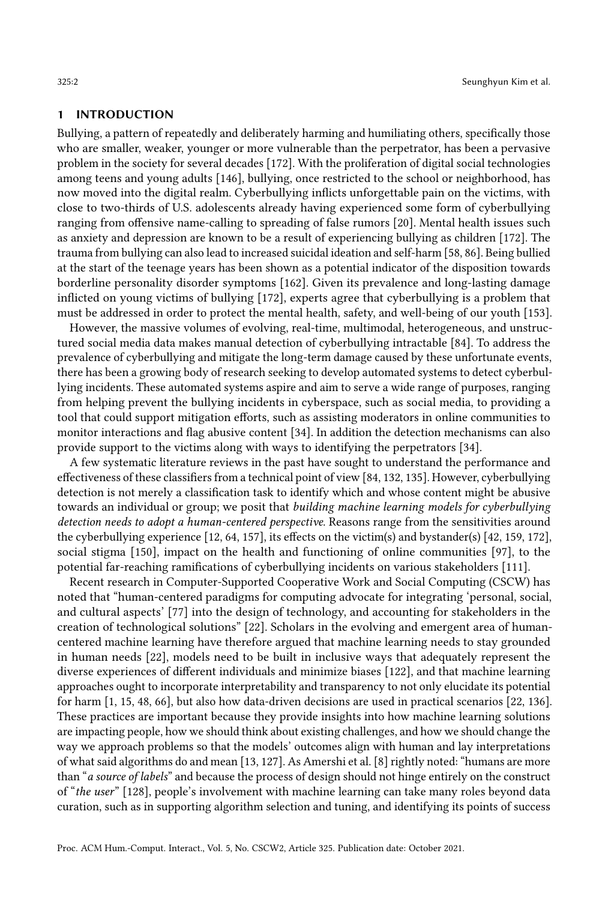#### 1 INTRODUCTION

Bullying, a pattern of repeatedly and deliberately harming and humiliating others, specifically those who are smaller, weaker, younger or more vulnerable than the perpetrator, has been a pervasive problem in the society for several decades [\[172\]](#page-33-1). With the proliferation of digital social technologies among teens and young adults [\[146\]](#page-31-0), bullying, once restricted to the school or neighborhood, has now moved into the digital realm. Cyberbullying inflicts unforgettable pain on the victims, with close to two-thirds of U.S. adolescents already having experienced some form of cyberbullying ranging from offensive name-calling to spreading of false rumors [\[20\]](#page-26-0). Mental health issues such as anxiety and depression are known to be a result of experiencing bullying as children [\[172\]](#page-33-1). The trauma from bullying can also lead to increased suicidal ideation and self-harm [\[58,](#page-28-0) [86\]](#page-29-0). Being bullied at the start of the teenage years has been shown as a potential indicator of the disposition towards borderline personality disorder symptoms [\[162\]](#page-32-0). Given its prevalence and long-lasting damage inflicted on young victims of bullying [\[172\]](#page-33-1), experts agree that cyberbullying is a problem that must be addressed in order to protect the mental health, safety, and well-being of our youth [\[153\]](#page-32-1).

However, the massive volumes of evolving, real-time, multimodal, heterogeneous, and unstructured social media data makes manual detection of cyberbullying intractable [\[84\]](#page-29-1). To address the prevalence of cyberbullying and mitigate the long-term damage caused by these unfortunate events, there has been a growing body of research seeking to develop automated systems to detect cyberbullying incidents. These automated systems aspire and aim to serve a wide range of purposes, ranging from helping prevent the bullying incidents in cyberspace, such as social media, to providing a tool that could support mitigation efforts, such as assisting moderators in online communities to monitor interactions and flag abusive content [\[34\]](#page-26-1). In addition the detection mechanisms can also provide support to the victims along with ways to identifying the perpetrators [\[34\]](#page-26-1).

A few systematic literature reviews in the past have sought to understand the performance and effectiveness of these classifiers from a technical point of view [\[84,](#page-29-1) [132,](#page-31-1) [135\]](#page-31-2). However, cyberbullying detection is not merely a classification task to identify which and whose content might be abusive towards an individual or group; we posit that building machine learning models for cyberbullying detection needs to adopt a human-centered perspective. Reasons range from the sensitivities around the cyberbullying experience [\[12,](#page-25-0) [64,](#page-28-1) [157\]](#page-32-2), its effects on the victim(s) and bystander(s) [\[42,](#page-27-0) [159,](#page-32-3) [172\]](#page-33-1), social stigma [\[150\]](#page-32-4), impact on the health and functioning of online communities [\[97\]](#page-29-2), to the potential far-reaching ramifications of cyberbullying incidents on various stakeholders [\[111\]](#page-30-0).

Recent research in Computer-Supported Cooperative Work and Social Computing (CSCW) has noted that "human-centered paradigms for computing advocate for integrating 'personal, social, and cultural aspects' [\[77\]](#page-28-2) into the design of technology, and accounting for stakeholders in the creation of technological solutions" [\[22\]](#page-26-2). Scholars in the evolving and emergent area of humancentered machine learning have therefore argued that machine learning needs to stay grounded in human needs [\[22\]](#page-26-2), models need to be built in inclusive ways that adequately represent the diverse experiences of different individuals and minimize biases [\[122\]](#page-30-1), and that machine learning approaches ought to incorporate interpretability and transparency to not only elucidate its potential for harm [\[1,](#page-25-1) [15,](#page-26-3) [48,](#page-27-1) [66\]](#page-28-3), but also how data-driven decisions are used in practical scenarios [\[22,](#page-26-2) [136\]](#page-31-3). These practices are important because they provide insights into how machine learning solutions are impacting people, how we should think about existing challenges, and how we should change the way we approach problems so that the models' outcomes align with human and lay interpretations of what said algorithms do and mean [\[13,](#page-26-4) [127\]](#page-30-2). As Amershi et al. [\[8\]](#page-25-2) rightly noted: "humans are more than "a source of labels" and because the process of design should not hinge entirely on the construct of "the user" [\[128\]](#page-31-4), people's involvement with machine learning can take many roles beyond data curation, such as in supporting algorithm selection and tuning, and identifying its points of success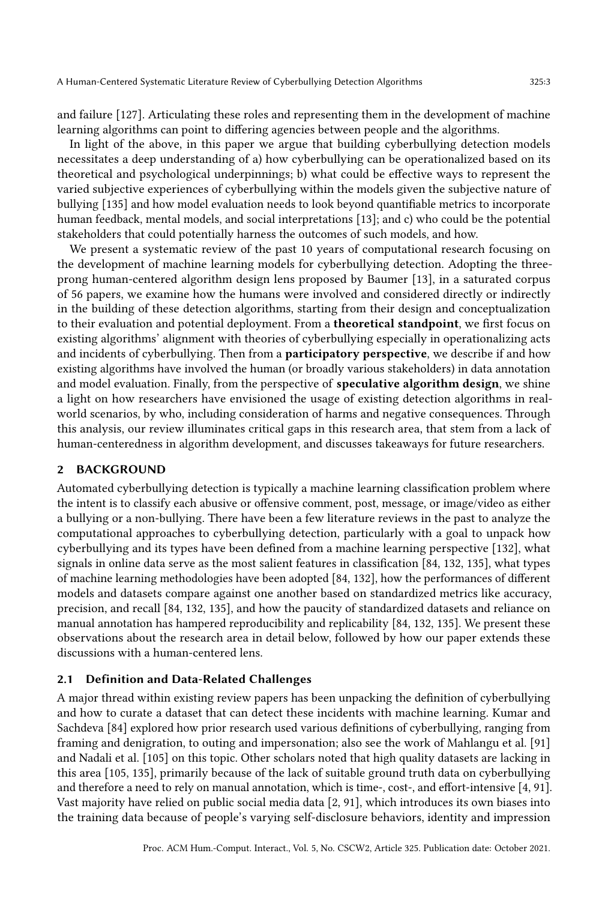and failure [\[127\]](#page-30-2). Articulating these roles and representing them in the development of machine learning algorithms can point to differing agencies between people and the algorithms.

In light of the above, in this paper we argue that building cyberbullying detection models necessitates a deep understanding of a) how cyberbullying can be operationalized based on its theoretical and psychological underpinnings; b) what could be effective ways to represent the varied subjective experiences of cyberbullying within the models given the subjective nature of bullying [\[135\]](#page-31-2) and how model evaluation needs to look beyond quantifiable metrics to incorporate human feedback, mental models, and social interpretations [\[13\]](#page-26-4); and c) who could be the potential stakeholders that could potentially harness the outcomes of such models, and how.

We present a systematic review of the past 10 years of computational research focusing on the development of machine learning models for cyberbullying detection. Adopting the threeprong human-centered algorithm design lens proposed by Baumer [\[13\]](#page-26-4), in a saturated corpus of 56 papers, we examine how the humans were involved and considered directly or indirectly in the building of these detection algorithms, starting from their design and conceptualization to their evaluation and potential deployment. From a theoretical standpoint, we first focus on existing algorithms' alignment with theories of cyberbullying especially in operationalizing acts and incidents of cyberbullying. Then from a **participatory perspective**, we describe if and how existing algorithms have involved the human (or broadly various stakeholders) in data annotation and model evaluation. Finally, from the perspective of **speculative algorithm design**, we shine a light on how researchers have envisioned the usage of existing detection algorithms in realworld scenarios, by who, including consideration of harms and negative consequences. Through this analysis, our review illuminates critical gaps in this research area, that stem from a lack of human-centeredness in algorithm development, and discusses takeaways for future researchers.

### 2 BACKGROUND

Automated cyberbullying detection is typically a machine learning classification problem where the intent is to classify each abusive or offensive comment, post, message, or image/video as either a bullying or a non-bullying. There have been a few literature reviews in the past to analyze the computational approaches to cyberbullying detection, particularly with a goal to unpack how cyberbullying and its types have been defined from a machine learning perspective [\[132\]](#page-31-1), what signals in online data serve as the most salient features in classification [\[84,](#page-29-1) [132,](#page-31-1) [135\]](#page-31-2), what types of machine learning methodologies have been adopted [\[84,](#page-29-1) [132\]](#page-31-1), how the performances of different models and datasets compare against one another based on standardized metrics like accuracy, precision, and recall [\[84,](#page-29-1) [132,](#page-31-1) [135\]](#page-31-2), and how the paucity of standardized datasets and reliance on manual annotation has hampered reproducibility and replicability [\[84,](#page-29-1) [132,](#page-31-1) [135\]](#page-31-2). We present these observations about the research area in detail below, followed by how our paper extends these discussions with a human-centered lens.

# 2.1 Definition and Data-Related Challenges

A major thread within existing review papers has been unpacking the definition of cyberbullying and how to curate a dataset that can detect these incidents with machine learning. Kumar and Sachdeva [\[84\]](#page-29-1) explored how prior research used various definitions of cyberbullying, ranging from framing and denigration, to outing and impersonation; also see the work of Mahlangu et al. [\[91\]](#page-29-3) and Nadali et al. [\[105\]](#page-30-3) on this topic. Other scholars noted that high quality datasets are lacking in this area [\[105,](#page-30-3) [135\]](#page-31-2), primarily because of the lack of suitable ground truth data on cyberbullying and therefore a need to rely on manual annotation, which is time-, cost-, and effort-intensive [\[4,](#page-25-3) [91\]](#page-29-3). Vast majority have relied on public social media data [\[2,](#page-25-4) [91\]](#page-29-3), which introduces its own biases into the training data because of people's varying self-disclosure behaviors, identity and impression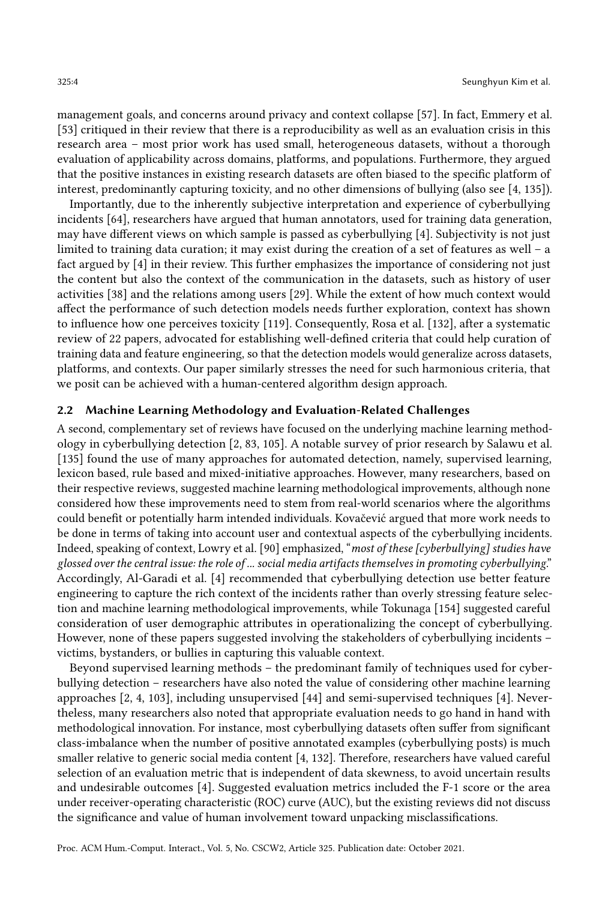management goals, and concerns around privacy and context collapse [\[57\]](#page-28-4). In fact, Emmery et al. [\[53\]](#page-27-2) critiqued in their review that there is a reproducibility as well as an evaluation crisis in this research area – most prior work has used small, heterogeneous datasets, without a thorough evaluation of applicability across domains, platforms, and populations. Furthermore, they argued that the positive instances in existing research datasets are often biased to the specific platform of interest, predominantly capturing toxicity, and no other dimensions of bullying (also see [\[4,](#page-25-3) [135\]](#page-31-2)).

Importantly, due to the inherently subjective interpretation and experience of cyberbullying incidents [\[64\]](#page-28-1), researchers have argued that human annotators, used for training data generation, may have different views on which sample is passed as cyberbullying [\[4\]](#page-25-3). Subjectivity is not just limited to training data curation; it may exist during the creation of a set of features as well – a fact argued by [\[4\]](#page-25-3) in their review. This further emphasizes the importance of considering not just the content but also the context of the communication in the datasets, such as history of user activities [\[38\]](#page-27-3) and the relations among users [\[29\]](#page-26-5). While the extent of how much context would affect the performance of such detection models needs further exploration, context has shown to influence how one perceives toxicity [\[119\]](#page-30-4). Consequently, Rosa et al. [\[132\]](#page-31-1), after a systematic review of 22 papers, advocated for establishing well-defined criteria that could help curation of training data and feature engineering, so that the detection models would generalize across datasets, platforms, and contexts. Our paper similarly stresses the need for such harmonious criteria, that we posit can be achieved with a human-centered algorithm design approach.

# 2.2 Machine Learning Methodology and Evaluation-Related Challenges

A second, complementary set of reviews have focused on the underlying machine learning methodology in cyberbullying detection [\[2,](#page-25-4) [83,](#page-29-4) [105\]](#page-30-3). A notable survey of prior research by Salawu et al. [\[135\]](#page-31-2) found the use of many approaches for automated detection, namely, supervised learning, lexicon based, rule based and mixed-initiative approaches. However, many researchers, based on their respective reviews, suggested machine learning methodological improvements, although none considered how these improvements need to stem from real-world scenarios where the algorithms could benefit or potentially harm intended individuals. [Kovačević](#page-29-4) argued that more work needs to be done in terms of taking into account user and contextual aspects of the cyberbullying incidents. Indeed, speaking of context, Lowry et al. [\[90\]](#page-29-5) emphasized, "most of these [cyberbullying] studies have glossed over the central issue: the role of ... social media artifacts themselves in promoting cyberbullying." Accordingly, Al-Garadi et al. [\[4\]](#page-25-3) recommended that cyberbullying detection use better feature engineering to capture the rich context of the incidents rather than overly stressing feature selection and machine learning methodological improvements, while Tokunaga [\[154\]](#page-32-5) suggested careful consideration of user demographic attributes in operationalizing the concept of cyberbullying. However, none of these papers suggested involving the stakeholders of cyberbullying incidents – victims, bystanders, or bullies in capturing this valuable context.

Beyond supervised learning methods – the predominant family of techniques used for cyberbullying detection – researchers have also noted the value of considering other machine learning approaches [\[2,](#page-25-4) [4,](#page-25-3) [103\]](#page-29-6), including unsupervised [\[44\]](#page-27-4) and semi-supervised techniques [\[4\]](#page-25-3). Nevertheless, many researchers also noted that appropriate evaluation needs to go hand in hand with methodological innovation. For instance, most cyberbullying datasets often suffer from significant class-imbalance when the number of positive annotated examples (cyberbullying posts) is much smaller relative to generic social media content [\[4,](#page-25-3) [132\]](#page-31-1). Therefore, researchers have valued careful selection of an evaluation metric that is independent of data skewness, to avoid uncertain results and undesirable outcomes [\[4\]](#page-25-3). Suggested evaluation metrics included the F-1 score or the area under receiver-operating characteristic (ROC) curve (AUC), but the existing reviews did not discuss the significance and value of human involvement toward unpacking misclassifications.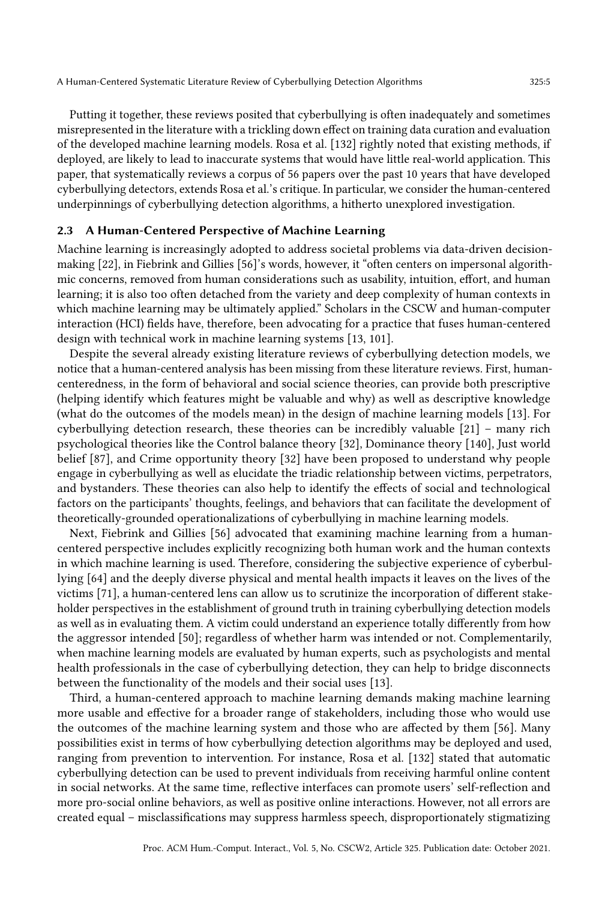Putting it together, these reviews posited that cyberbullying is often inadequately and sometimes misrepresented in the literature with a trickling down effect on training data curation and evaluation of the developed machine learning models. Rosa et al. [\[132\]](#page-31-1) rightly noted that existing methods, if deployed, are likely to lead to inaccurate systems that would have little real-world application. This paper, that systematically reviews a corpus of 56 papers over the past 10 years that have developed cyberbullying detectors, extends [Rosa et al.'](#page-31-1)s critique. In particular, we consider the human-centered underpinnings of cyberbullying detection algorithms, a hitherto unexplored investigation.

# A Human-Centered Perspective of Machine Learning

Machine learning is increasingly adopted to address societal problems via data-driven decisionmaking [\[22\]](#page-26-2), in Fiebrink and Gillies [\[56\]](#page-28-5)'s words, however, it "often centers on impersonal algorithmic concerns, removed from human considerations such as usability, intuition, effort, and human learning; it is also too often detached from the variety and deep complexity of human contexts in which machine learning may be ultimately applied." Scholars in the CSCW and human-computer interaction (HCI) fields have, therefore, been advocating for a practice that fuses human-centered design with technical work in machine learning systems [\[13,](#page-26-4) [101\]](#page-29-7).

Despite the several already existing literature reviews of cyberbullying detection models, we notice that a human-centered analysis has been missing from these literature reviews. First, humancenteredness, in the form of behavioral and social science theories, can provide both prescriptive (helping identify which features might be valuable and why) as well as descriptive knowledge (what do the outcomes of the models mean) in the design of machine learning models [\[13\]](#page-26-4). For cyberbullying detection research, these theories can be incredibly valuable [\[21\]](#page-26-6) – many rich psychological theories like the Control balance theory [\[32\]](#page-26-7), Dominance theory [\[140\]](#page-31-5), Just world belief [\[87\]](#page-29-8), and Crime opportunity theory [\[32\]](#page-26-7) have been proposed to understand why people engage in cyberbullying as well as elucidate the triadic relationship between victims, perpetrators, and bystanders. These theories can also help to identify the effects of social and technological factors on the participants' thoughts, feelings, and behaviors that can facilitate the development of theoretically-grounded operationalizations of cyberbullying in machine learning models.

Next, Fiebrink and Gillies [\[56\]](#page-28-5) advocated that examining machine learning from a humancentered perspective includes explicitly recognizing both human work and the human contexts in which machine learning is used. Therefore, considering the subjective experience of cyberbullying [\[64\]](#page-28-1) and the deeply diverse physical and mental health impacts it leaves on the lives of the victims [\[71\]](#page-28-6), a human-centered lens can allow us to scrutinize the incorporation of different stakeholder perspectives in the establishment of ground truth in training cyberbullying detection models as well as in evaluating them. A victim could understand an experience totally differently from how the aggressor intended [\[50\]](#page-27-5); regardless of whether harm was intended or not. Complementarily, when machine learning models are evaluated by human experts, such as psychologists and mental health professionals in the case of cyberbullying detection, they can help to bridge disconnects between the functionality of the models and their social uses [\[13\]](#page-26-4).

Third, a human-centered approach to machine learning demands making machine learning more usable and effective for a broader range of stakeholders, including those who would use the outcomes of the machine learning system and those who are affected by them [\[56\]](#page-28-5). Many possibilities exist in terms of how cyberbullying detection algorithms may be deployed and used, ranging from prevention to intervention. For instance, Rosa et al. [\[132\]](#page-31-1) stated that automatic cyberbullying detection can be used to prevent individuals from receiving harmful online content in social networks. At the same time, reflective interfaces can promote users' self-reflection and more pro-social online behaviors, as well as positive online interactions. However, not all errors are created equal – misclassifications may suppress harmless speech, disproportionately stigmatizing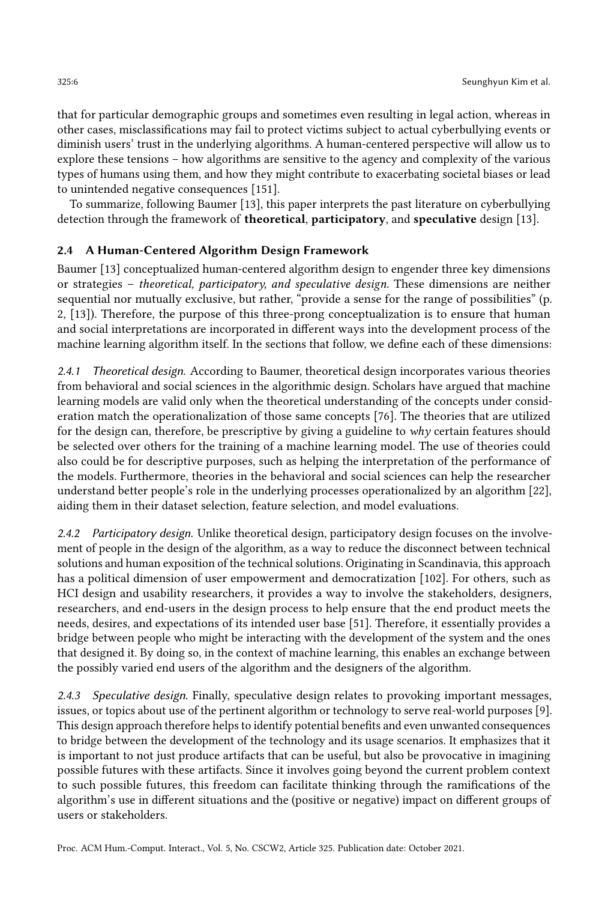that for particular demographic groups and sometimes even resulting in legal action, whereas in other cases, misclassifications may fail to protect victims subject to actual cyberbullying events or diminish users' trust in the underlying algorithms. A human-centered perspective will allow us to explore these tensions – how algorithms are sensitive to the agency and complexity of the various types of humans using them, and how they might contribute to exacerbating societal biases or lead to unintended negative consequences [\[151\]](#page-32-6).

To summarize, following Baumer [\[13\]](#page-26-4), this paper interprets the past literature on cyberbullying detection through the framework of theoretical, participatory, and speculative design [\[13\]](#page-26-4).

### 2.4 A Human-Centered Algorithm Design Framework

Baumer [\[13\]](#page-26-4) conceptualized human-centered algorithm design to engender three key dimensions or strategies – theoretical, participatory, and speculative design. These dimensions are neither sequential nor mutually exclusive, but rather, "provide a sense for the range of possibilities" (p. 2, [\[13\]](#page-26-4)). Therefore, the purpose of this three-prong conceptualization is to ensure that human and social interpretations are incorporated in different ways into the development process of the machine learning algorithm itself. In the sections that follow, we define each of these dimensions:

2.4.1 Theoretical design. According to Baumer, theoretical design incorporates various theories from behavioral and social sciences in the algorithmic design. Scholars have argued that machine learning models are valid only when the theoretical understanding of the concepts under consideration match the operationalization of those same concepts [\[76\]](#page-28-7). The theories that are utilized for the design can, therefore, be prescriptive by giving a guideline to  $why$  certain features should be selected over others for the training of a machine learning model. The use of theories could also could be for descriptive purposes, such as helping the interpretation of the performance of the models. Furthermore, theories in the behavioral and social sciences can help the researcher understand better people's role in the underlying processes operationalized by an algorithm [\[22\]](#page-26-2), aiding them in their dataset selection, feature selection, and model evaluations.

2.4.2 Participatory design. Unlike theoretical design, participatory design focuses on the involvement of people in the design of the algorithm, as a way to reduce the disconnect between technical solutions and human exposition of the technical solutions. Originating in Scandinavia, this approach has a political dimension of user empowerment and democratization [\[102\]](#page-29-9). For others, such as HCI design and usability researchers, it provides a way to involve the stakeholders, designers, researchers, and end-users in the design process to help ensure that the end product meets the needs, desires, and expectations of its intended user base [\[51\]](#page-27-6). Therefore, it essentially provides a bridge between people who might be interacting with the development of the system and the ones that designed it. By doing so, in the context of machine learning, this enables an exchange between the possibly varied end users of the algorithm and the designers of the algorithm.

2.4.3 Speculative design. Finally, speculative design relates to provoking important messages, issues, or topics about use of the pertinent algorithm or technology to serve real-world purposes [\[9\]](#page-25-5). This design approach therefore helps to identify potential benefits and even unwanted consequences to bridge between the development of the technology and its usage scenarios. It emphasizes that it is important to not just produce artifacts that can be useful, but also be provocative in imagining possible futures with these artifacts. Since it involves going beyond the current problem context to such possible futures, this freedom can facilitate thinking through the ramifications of the algorithm's use in different situations and the (positive or negative) impact on different groups of users or stakeholders.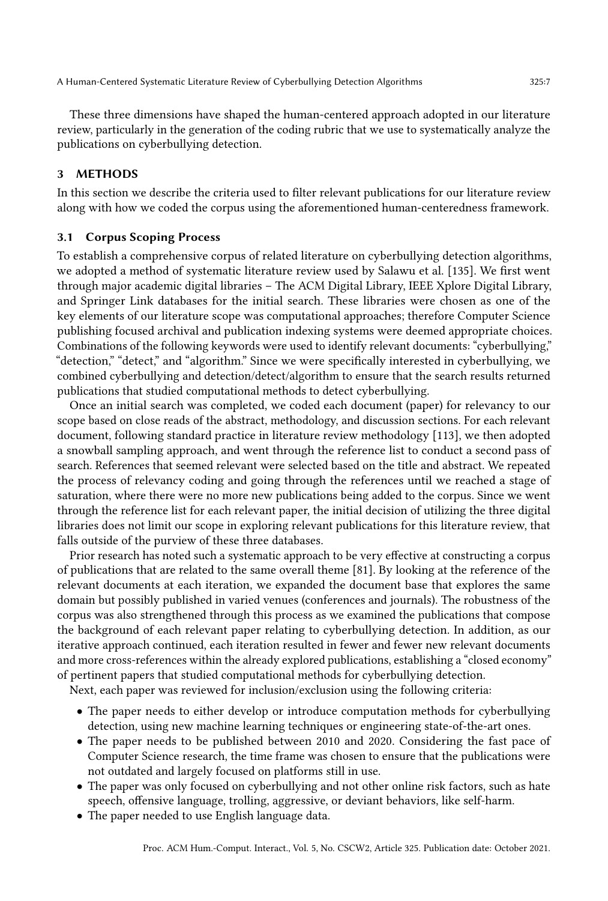These three dimensions have shaped the human-centered approach adopted in our literature review, particularly in the generation of the coding rubric that we use to systematically analyze the publications on cyberbullying detection.

# 3 METHODS

In this section we describe the criteria used to filter relevant publications for our literature review along with how we coded the corpus using the aforementioned human-centeredness framework.

#### 3.1 Corpus Scoping Process

To establish a comprehensive corpus of related literature on cyberbullying detection algorithms, we adopted a method of systematic literature review used by Salawu et al. [\[135\]](#page-31-2). We first went through major academic digital libraries – The ACM Digital Library, IEEE Xplore Digital Library, and Springer Link databases for the initial search. These libraries were chosen as one of the key elements of our literature scope was computational approaches; therefore Computer Science publishing focused archival and publication indexing systems were deemed appropriate choices. Combinations of the following keywords were used to identify relevant documents: "cyberbullying," "detection," "detect," and "algorithm." Since we were specifically interested in cyberbullying, we combined cyberbullying and detection/detect/algorithm to ensure that the search results returned publications that studied computational methods to detect cyberbullying.

Once an initial search was completed, we coded each document (paper) for relevancy to our scope based on close reads of the abstract, methodology, and discussion sections. For each relevant document, following standard practice in literature review methodology [\[113\]](#page-30-5), we then adopted a snowball sampling approach, and went through the reference list to conduct a second pass of search. References that seemed relevant were selected based on the title and abstract. We repeated the process of relevancy coding and going through the references until we reached a stage of saturation, where there were no more new publications being added to the corpus. Since we went through the reference list for each relevant paper, the initial decision of utilizing the three digital libraries does not limit our scope in exploring relevant publications for this literature review, that falls outside of the purview of these three databases.

Prior research has noted such a systematic approach to be very effective at constructing a corpus of publications that are related to the same overall theme [\[81\]](#page-29-10). By looking at the reference of the relevant documents at each iteration, we expanded the document base that explores the same domain but possibly published in varied venues (conferences and journals). The robustness of the corpus was also strengthened through this process as we examined the publications that compose the background of each relevant paper relating to cyberbullying detection. In addition, as our iterative approach continued, each iteration resulted in fewer and fewer new relevant documents and more cross-references within the already explored publications, establishing a "closed economy" of pertinent papers that studied computational methods for cyberbullying detection.

Next, each paper was reviewed for inclusion/exclusion using the following criteria:

- The paper needs to either develop or introduce computation methods for cyberbullying detection, using new machine learning techniques or engineering state-of-the-art ones.
- The paper needs to be published between 2010 and 2020. Considering the fast pace of Computer Science research, the time frame was chosen to ensure that the publications were not outdated and largely focused on platforms still in use.
- The paper was only focused on cyberbullying and not other online risk factors, such as hate speech, offensive language, trolling, aggressive, or deviant behaviors, like self-harm.
- The paper needed to use English language data.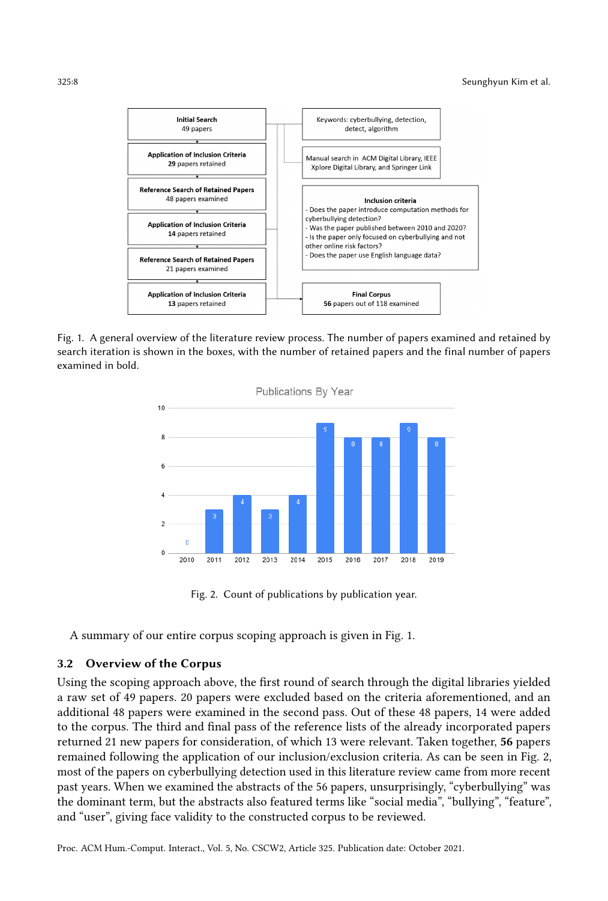

<span id="page-7-1"></span>Fig. 1. A general overview of the literature review process. The number of papers examined and retained by search iteration is shown in the boxes, with the number of retained papers and the final number of papers examined in bold.



Fig. 2. Count of publications by publication year.

A summary of our entire corpus scoping approach is given in Fig. [1.](#page-7-0)

# 3.2 Overview of the Corpus

Using the scoping approach above, the first round of search through the digital libraries yielded a raw set of 49 papers. 20 papers were excluded based on the criteria aforementioned, and an additional 48 papers were examined in the second pass. Out of these 48 papers, 14 were added to the corpus. The third and final pass of the reference lists of the already incorporated papers returned 21 new papers for consideration, of which 13 were relevant. Taken together, 56 papers remained following the application of our inclusion/exclusion criteria. As can be seen in Fig. [2,](#page-7-1) most of the papers on cyberbullying detection used in this literature review came from more recent past years. When we examined the abstracts of the 56 papers, unsurprisingly, "cyberbullying" was the dominant term, but the abstracts also featured terms like "social media", "bullying", "feature", and "user", giving face validity to the constructed corpus to be reviewed.

Proc. ACM Hum.-Comput. Interact., Vol. 5, No. CSCW2, Article 325. Publication date: October 2021.

<span id="page-7-0"></span>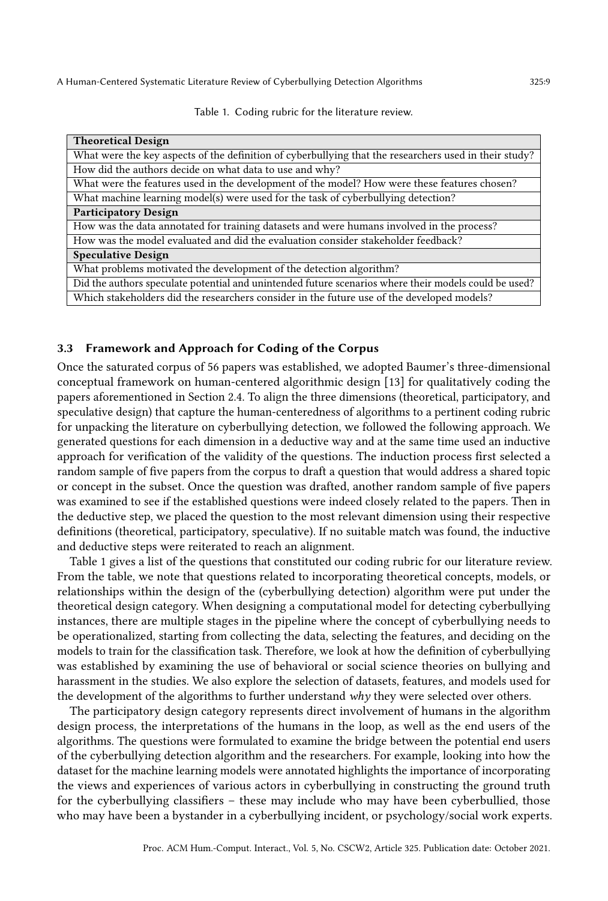Table 1. Coding rubric for the literature review.

<span id="page-8-0"></span>

| <b>Theoretical Design</b>                                                                              |  |  |
|--------------------------------------------------------------------------------------------------------|--|--|
| What were the key aspects of the definition of cyberbullying that the researchers used in their study? |  |  |
| How did the authors decide on what data to use and why?                                                |  |  |
| What were the features used in the development of the model? How were these features chosen?           |  |  |
| What machine learning model(s) were used for the task of cyberbullying detection?                      |  |  |
| <b>Participatory Design</b>                                                                            |  |  |
| How was the data annotated for training datasets and were humans involved in the process?              |  |  |
| How was the model evaluated and did the evaluation consider stakeholder feedback?                      |  |  |
| <b>Speculative Design</b>                                                                              |  |  |
| What problems motivated the development of the detection algorithm?                                    |  |  |
| Did the authors speculate potential and unintended future scenarios where their models could be used?  |  |  |
| Which stakeholders did the researchers consider in the future use of the developed models?             |  |  |

#### 3.3 Framework and Approach for Coding of the Corpus

Once the saturated corpus of 56 papers was established, we adopted Baumer's three-dimensional conceptual framework on human-centered algorithmic design [\[13\]](#page-26-4) for qualitatively coding the papers aforementioned in Section 2.4. To align the three dimensions (theoretical, participatory, and speculative design) that capture the human-centeredness of algorithms to a pertinent coding rubric for unpacking the literature on cyberbullying detection, we followed the following approach. We generated questions for each dimension in a deductive way and at the same time used an inductive approach for verification of the validity of the questions. The induction process first selected a random sample of five papers from the corpus to draft a question that would address a shared topic or concept in the subset. Once the question was drafted, another random sample of five papers was examined to see if the established questions were indeed closely related to the papers. Then in the deductive step, we placed the question to the most relevant dimension using their respective definitions (theoretical, participatory, speculative). If no suitable match was found, the inductive and deductive steps were reiterated to reach an alignment.

Table [1](#page-8-0) gives a list of the questions that constituted our coding rubric for our literature review. From the table, we note that questions related to incorporating theoretical concepts, models, or relationships within the design of the (cyberbullying detection) algorithm were put under the theoretical design category. When designing a computational model for detecting cyberbullying instances, there are multiple stages in the pipeline where the concept of cyberbullying needs to be operationalized, starting from collecting the data, selecting the features, and deciding on the models to train for the classification task. Therefore, we look at how the definition of cyberbullying was established by examining the use of behavioral or social science theories on bullying and harassment in the studies. We also explore the selection of datasets, features, and models used for the development of the algorithms to further understand why they were selected over others.

The participatory design category represents direct involvement of humans in the algorithm design process, the interpretations of the humans in the loop, as well as the end users of the algorithms. The questions were formulated to examine the bridge between the potential end users of the cyberbullying detection algorithm and the researchers. For example, looking into how the dataset for the machine learning models were annotated highlights the importance of incorporating the views and experiences of various actors in cyberbullying in constructing the ground truth for the cyberbullying classifiers – these may include who may have been cyberbullied, those who may have been a bystander in a cyberbullying incident, or psychology/social work experts.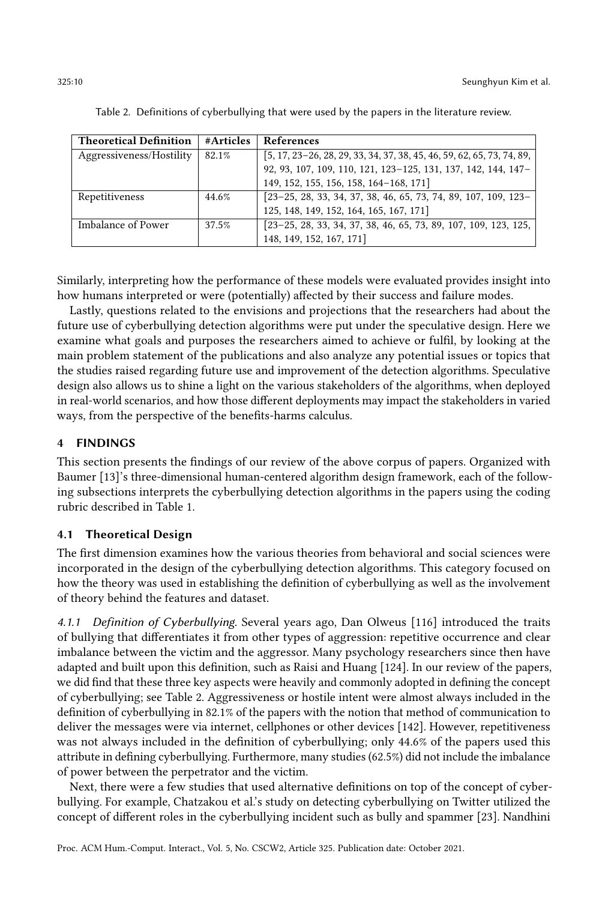<span id="page-9-0"></span>

| <b>Theoretical Definition</b> | #Articles | <b>References</b>                                                                            |
|-------------------------------|-----------|----------------------------------------------------------------------------------------------|
| Aggressiveness/Hostility      | 82.1%     | $[5, 17, 23-26, 28, 29, 33, 34, 37, 38, 45, 46, 59, 62, 65, 73, 74, 89,$                     |
|                               |           | 92, 93, 107, 109, 110, 121, 123-125, 131, 137, 142, 144, 147-                                |
|                               |           | 149, 152, 155, 156, 158, 164-168, 171]                                                       |
| Repetitiveness                | 44.6%     | $\begin{bmatrix} 23-25, 28, 33, 34, 37, 38, 46, 65, 73, 74, 89, 107, 109, 123 \end{bmatrix}$ |
|                               |           | 125, 148, 149, 152, 164, 165, 167, 171]                                                      |
| Imbalance of Power            | 37.5%     | $[23-25, 28, 33, 34, 37, 38, 46, 65, 73, 89, 107, 109, 123, 125,$                            |
|                               |           | 148, 149, 152, 167, 171]                                                                     |

Table 2. Definitions of cyberbullying that were used by the papers in the literature review.

Similarly, interpreting how the performance of these models were evaluated provides insight into how humans interpreted or were (potentially) affected by their success and failure modes.

Lastly, questions related to the envisions and projections that the researchers had about the future use of cyberbullying detection algorithms were put under the speculative design. Here we examine what goals and purposes the researchers aimed to achieve or fulfil, by looking at the main problem statement of the publications and also analyze any potential issues or topics that the studies raised regarding future use and improvement of the detection algorithms. Speculative design also allows us to shine a light on the various stakeholders of the algorithms, when deployed in real-world scenarios, and how those different deployments may impact the stakeholders in varied ways, from the perspective of the benefits-harms calculus.

# 4 FINDINGS

This section presents the findings of our review of the above corpus of papers. Organized with Baumer [\[13\]](#page-26-4)'s three-dimensional human-centered algorithm design framework, each of the following subsections interprets the cyberbullying detection algorithms in the papers using the coding rubric described in Table [1.](#page-8-0)

#### 4.1 Theoretical Design

The first dimension examines how the various theories from behavioral and social sciences were incorporated in the design of the cyberbullying detection algorithms. This category focused on how the theory was used in establishing the definition of cyberbullying as well as the involvement of theory behind the features and dataset.

4.1.1 Definition of Cyberbullying. Several years ago, Dan Olweus [\[116\]](#page-30-12) introduced the traits of bullying that differentiates it from other types of aggression: repetitive occurrence and clear imbalance between the victim and the aggressor. Many psychology researchers since then have adapted and built upon this definition, such as Raisi and Huang [\[124\]](#page-30-13). In our review of the papers, we did find that these three key aspects were heavily and commonly adopted in defining the concept of cyberbullying; see Table [2.](#page-9-0) Aggressiveness or hostile intent were almost always included in the definition of cyberbullying in 82.1% of the papers with the notion that method of communication to deliver the messages were via internet, cellphones or other devices [\[142\]](#page-31-8). However, repetitiveness was not always included in the definition of cyberbullying; only 44.6% of the papers used this attribute in defining cyberbullying. Furthermore, many studies (62.5%) did not include the imbalance of power between the perpetrator and the victim.

Next, there were a few studies that used alternative definitions on top of the concept of cyberbullying. For example, Chatzakou et al.'s study on detecting cyberbullying on Twitter utilized the concept of different roles in the cyberbullying incident such as bully and spammer [\[23\]](#page-26-9). Nandhini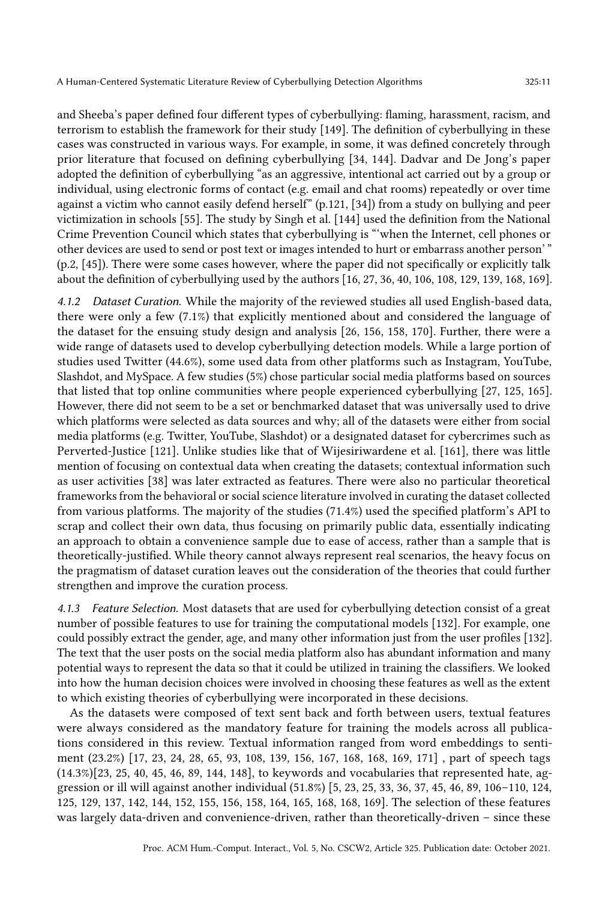and Sheeba's paper defined four different types of cyberbullying: flaming, harassment, racism, and terrorism to establish the framework for their study [\[149\]](#page-31-11). The definition of cyberbullying in these cases was constructed in various ways. For example, in some, it was defined concretely through prior literature that focused on defining cyberbullying [\[34,](#page-26-1) [144\]](#page-31-9). Dadvar and De Jong's paper adopted the definition of cyberbullying "as an aggressive, intentional act carried out by a group or individual, using electronic forms of contact (e.g. email and chat rooms) repeatedly or over time against a victim who cannot easily defend herself" (p.121, [\[34\]](#page-26-1)) from a study on bullying and peer victimization in schools [\[55\]](#page-27-10). The study by Singh et al. [\[144\]](#page-31-9) used the definition from the National Crime Prevention Council which states that cyberbullying is "'when the Internet, cell phones or other devices are used to send or post text or images intended to hurt or embarrass another person' " (p.2, [\[45\]](#page-27-8)). There were some cases however, where the paper did not specifically or explicitly talk about the definition of cyberbullying used by the authors [\[16,](#page-26-14) [27,](#page-26-15) [36,](#page-27-11) [40,](#page-27-12) [106,](#page-30-14) [108,](#page-30-15) [129,](#page-31-13) [139,](#page-31-14) [168,](#page-32-12) [169\]](#page-32-15).

4.1.2 Dataset Curation. While the majority of the reviewed studies all used English-based data, there were only a few (7.1%) that explicitly mentioned about and considered the language of the dataset for the ensuing study design and analysis [\[26,](#page-26-10) [156,](#page-32-9) [158,](#page-32-10) [170\]](#page-33-3). Further, there were a wide range of datasets used to develop cyberbullying detection models. While a large portion of studies used Twitter (44.6%), some used data from other platforms such as Instagram, YouTube, Slashdot, and MySpace. A few studies (5%) chose particular social media platforms based on sources that listed that top online communities where people experienced cyberbullying [\[27,](#page-26-15) [125,](#page-30-11) [165\]](#page-32-13). However, there did not seem to be a set or benchmarked dataset that was universally used to drive which platforms were selected as data sources and why; all of the datasets were either from social media platforms (e.g. Twitter, YouTube, Slashdot) or a designated dataset for cybercrimes such as Perverted-Justice [\[121\]](#page-30-9). Unlike studies like that of Wijesiriwardene et al. [\[161\]](#page-32-16), there was little mention of focusing on contextual data when creating the datasets; contextual information such as user activities [\[38\]](#page-27-3) was later extracted as features. There were also no particular theoretical frameworks from the behavioral or social science literature involved in curating the dataset collected from various platforms. The majority of the studies (71.4%) used the specified platform's API to scrap and collect their own data, thus focusing on primarily public data, essentially indicating an approach to obtain a convenience sample due to ease of access, rather than a sample that is theoretically-justified. While theory cannot always represent real scenarios, the heavy focus on the pragmatism of dataset curation leaves out the consideration of the theories that could further strengthen and improve the curation process.

4.1.3 Feature Selection. Most datasets that are used for cyberbullying detection consist of a great number of possible features to use for training the computational models [\[132\]](#page-31-1). For example, one could possibly extract the gender, age, and many other information just from the user profiles [\[132\]](#page-31-1). The text that the user posts on the social media platform also has abundant information and many potential ways to represent the data so that it could be utilized in training the classifiers. We looked into how the human decision choices were involved in choosing these features as well as the extent to which existing theories of cyberbullying were incorporated in these decisions.

As the datasets were composed of text sent back and forth between users, textual features were always considered as the mandatory feature for training the models across all publications considered in this review. Textual information ranged from word embeddings to sentiment (23.2%) [\[17,](#page-26-8) [23,](#page-26-9) [24,](#page-26-16) [28,](#page-26-11) [65,](#page-28-10) [93,](#page-29-13) [108,](#page-30-15) [139,](#page-31-14) [156,](#page-32-9) [167,](#page-32-14) [168,](#page-32-12) [168,](#page-32-12) [169,](#page-32-15) [171\]](#page-33-2) , part of speech tags (14.3%)[\[23,](#page-26-9) [25,](#page-26-13) [40,](#page-27-12) [45,](#page-27-8) [46,](#page-27-9) [89,](#page-29-11) [144,](#page-31-9) [148\]](#page-31-12), to keywords and vocabularies that represented hate, aggression or ill will against another individual (51.8%) [\[5,](#page-25-6) [23,](#page-26-9) [25,](#page-26-13) [33,](#page-26-12) [36,](#page-27-11) [37,](#page-27-7) [45,](#page-27-8) [46,](#page-27-9) [89,](#page-29-11) [106–](#page-30-14)[110,](#page-30-8) [124,](#page-30-13) [125,](#page-30-11) [129,](#page-31-13) [137,](#page-31-7) [142,](#page-31-8) [144,](#page-31-9) [152,](#page-32-7) [155,](#page-32-8) [156,](#page-32-9) [158,](#page-32-10) [164,](#page-32-11) [165,](#page-32-13) [168,](#page-32-12) [168,](#page-32-12) [169\]](#page-32-15). The selection of these features was largely data-driven and convenience-driven, rather than theoretically-driven – since these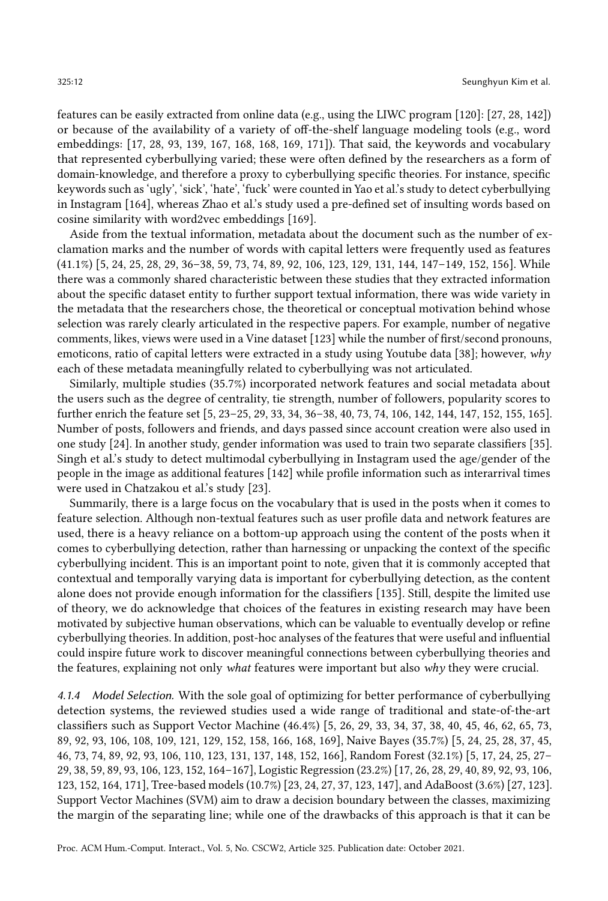features can be easily extracted from online data (e.g., using the LIWC program [\[120\]](#page-30-16): [\[27,](#page-26-15) [28,](#page-26-11) [142\]](#page-31-8)) or because of the availability of a variety of off-the-shelf language modeling tools (e.g., word embeddings: [\[17,](#page-26-8) [28,](#page-26-11) [93,](#page-29-13) [139,](#page-31-14) [167,](#page-32-14) [168,](#page-32-12) [168,](#page-32-12) [169,](#page-32-15) [171\]](#page-33-2)). That said, the keywords and vocabulary that represented cyberbullying varied; these were often defined by the researchers as a form of domain-knowledge, and therefore a proxy to cyberbullying specific theories. For instance, specific keywords such as 'ugly', 'sick', 'hate', 'fuck' were counted in Yao et al.'s study to detect cyberbullying in Instagram [\[164\]](#page-32-11), whereas Zhao et al.'s study used a pre-defined set of insulting words based on cosine similarity with word2vec embeddings [\[169\]](#page-32-15).

Aside from the textual information, metadata about the document such as the number of exclamation marks and the number of words with capital letters were frequently used as features (41.1%) [\[5,](#page-25-6) [24,](#page-26-16) [25,](#page-26-13) [28,](#page-26-11) [29,](#page-26-5) [36–](#page-27-11)[38,](#page-27-3) [59,](#page-28-8) [73,](#page-28-11) [74,](#page-28-12) [89,](#page-29-11) [92,](#page-29-12) [106,](#page-30-14) [123,](#page-30-10) [129,](#page-31-13) [131,](#page-31-6) [144,](#page-31-9) [147–](#page-31-10)[149,](#page-31-11) [152,](#page-32-7) [156\]](#page-32-9). While there was a commonly shared characteristic between these studies that they extracted information about the specific dataset entity to further support textual information, there was wide variety in the metadata that the researchers chose, the theoretical or conceptual motivation behind whose selection was rarely clearly articulated in the respective papers. For example, number of negative comments, likes, views were used in a Vine dataset [\[123\]](#page-30-10) while the number of first/second pronouns, emoticons, ratio of capital letters were extracted in a study using Youtube data [\[38\]](#page-27-3); however,  $whv$ each of these metadata meaningfully related to cyberbullying was not articulated.

Similarly, multiple studies (35.7%) incorporated network features and social metadata about the users such as the degree of centrality, tie strength, number of followers, popularity scores to further enrich the feature set [\[5,](#page-25-6) [23](#page-26-9)[–25,](#page-26-13) [29,](#page-26-5) [33,](#page-26-12) [34,](#page-26-1) [36](#page-27-11)[–38,](#page-27-3) [40,](#page-27-12) [73,](#page-28-11) [74,](#page-28-12) [106,](#page-30-14) [142,](#page-31-8) [144,](#page-31-9) [147,](#page-31-10) [152,](#page-32-7) [155,](#page-32-8) [165\]](#page-32-13). Number of posts, followers and friends, and days passed since account creation were also used in one study [\[24\]](#page-26-16). In another study, gender information was used to train two separate classifiers [\[35\]](#page-27-13). Singh et al.'s study to detect multimodal cyberbullying in Instagram used the age/gender of the people in the image as additional features [\[142\]](#page-31-8) while profile information such as interarrival times were used in Chatzakou et al.'s study [\[23\]](#page-26-9).

Summarily, there is a large focus on the vocabulary that is used in the posts when it comes to feature selection. Although non-textual features such as user profile data and network features are used, there is a heavy reliance on a bottom-up approach using the content of the posts when it comes to cyberbullying detection, rather than harnessing or unpacking the context of the specific cyberbullying incident. This is an important point to note, given that it is commonly accepted that contextual and temporally varying data is important for cyberbullying detection, as the content alone does not provide enough information for the classifiers [\[135\]](#page-31-2). Still, despite the limited use of theory, we do acknowledge that choices of the features in existing research may have been motivated by subjective human observations, which can be valuable to eventually develop or refine cyberbullying theories. In addition, post-hoc analyses of the features that were useful and influential could inspire future work to discover meaningful connections between cyberbullying theories and the features, explaining not only what features were important but also why they were crucial.

4.1.4 Model Selection. With the sole goal of optimizing for better performance of cyberbullying detection systems, the reviewed studies used a wide range of traditional and state-of-the-art classifiers such as Support Vector Machine (46.4%) [\[5,](#page-25-6) [26,](#page-26-10) [29,](#page-26-5) [33,](#page-26-12) [34,](#page-26-1) [37,](#page-27-7) [38,](#page-27-3) [40,](#page-27-12) [45,](#page-27-8) [46,](#page-27-9) [62,](#page-28-9) [65,](#page-28-10) [73,](#page-28-11) [89,](#page-29-11) [92,](#page-29-12) [93,](#page-29-13) [106,](#page-30-14) [108,](#page-30-15) [109,](#page-30-7) [121,](#page-30-9) [129,](#page-31-13) [152,](#page-32-7) [158,](#page-32-10) [166,](#page-32-17) [168,](#page-32-12) [169\]](#page-32-15), Naive Bayes (35.7%) [\[5,](#page-25-6) [24,](#page-26-16) [25,](#page-26-13) [28,](#page-26-11) [37,](#page-27-7) [45,](#page-27-8) [46,](#page-27-9) [73,](#page-28-11) [74,](#page-28-12) [89,](#page-29-11) [92,](#page-29-12) [93,](#page-29-13) [106,](#page-30-14) [110,](#page-30-8) [123,](#page-30-10) [131,](#page-31-6) [137,](#page-31-7) [148,](#page-31-12) [152,](#page-32-7) [166\]](#page-32-17), Random Forest (32.1%) [\[5,](#page-25-6) [17,](#page-26-8) [24,](#page-26-16) [25,](#page-26-13) [27–](#page-26-15) [29,](#page-26-5) [38,](#page-27-3) [59,](#page-28-8) [89,](#page-29-11) [93,](#page-29-13) [106,](#page-30-14) [123,](#page-30-10) [152,](#page-32-7) [164–](#page-32-11)[167\]](#page-32-14), Logistic Regression (23.2%) [\[17,](#page-26-8) [26,](#page-26-10) [28,](#page-26-11) [29,](#page-26-5) [40,](#page-27-12) [89,](#page-29-11) [92,](#page-29-12) [93,](#page-29-13) [106,](#page-30-14) [123,](#page-30-10) [152,](#page-32-7) [164,](#page-32-11) [171\]](#page-33-2), Tree-based models (10.7%) [\[23,](#page-26-9) [24,](#page-26-16) [27,](#page-26-15) [37,](#page-27-7) [123,](#page-30-10) [147\]](#page-31-10), and AdaBoost (3.6%) [\[27,](#page-26-15) [123\]](#page-30-10). Support Vector Machines (SVM) aim to draw a decision boundary between the classes, maximizing the margin of the separating line; while one of the drawbacks of this approach is that it can be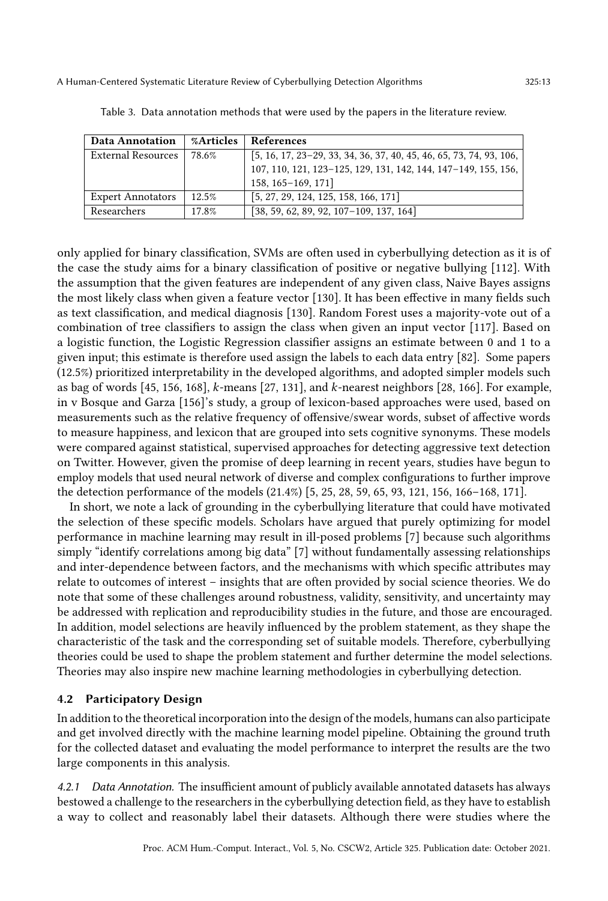| Data Annotation          | %Articles | References                                                            |
|--------------------------|-----------|-----------------------------------------------------------------------|
| External Resources       | 78.6%     | $[5, 16, 17, 23-29, 33, 34, 36, 37, 40, 45, 46, 65, 73, 74, 93, 106,$ |
|                          |           | 107, 110, 121, 123-125, 129, 131, 142, 144, 147-149, 155, 156,        |
|                          |           | 158, 165-169, 171]                                                    |
| <b>Expert Annotators</b> | 12.5%     | $\begin{bmatrix} 5, 27, 29, 124, 125, 158, 166, 171 \end{bmatrix}$    |
| Researchers              | 17.8%     | $[38, 59, 62, 89, 92, 107-109, 137, 164]$                             |

<span id="page-12-0"></span>Table 3. Data annotation methods that were used by the papers in the literature review.

only applied for binary classification, SVMs are often used in cyberbullying detection as it is of the case the study aims for a binary classification of positive or negative bullying [\[112\]](#page-30-17). With the assumption that the given features are independent of any given class, Naive Bayes assigns the most likely class when given a feature vector [\[130\]](#page-31-15). It has been effective in many fields such as text classification, and medical diagnosis [\[130\]](#page-31-15). Random Forest uses a majority-vote out of a combination of tree classifiers to assign the class when given an input vector [\[117\]](#page-30-18). Based on a logistic function, the Logistic Regression classifier assigns an estimate between 0 and 1 to a given input; this estimate is therefore used assign the labels to each data entry [\[82\]](#page-29-14). Some papers (12.5%) prioritized interpretability in the developed algorithms, and adopted simpler models such as bag of words [\[45,](#page-27-8) [156,](#page-32-9) [168\]](#page-32-12), k-means [\[27,](#page-26-15) [131\]](#page-31-6), and k-nearest neighbors [\[28,](#page-26-11) [166\]](#page-32-17). For example, in v Bosque and Garza [\[156\]](#page-32-9)'s study, a group of lexicon-based approaches were used, based on measurements such as the relative frequency of offensive/swear words, subset of affective words to measure happiness, and lexicon that are grouped into sets cognitive synonyms. These models were compared against statistical, supervised approaches for detecting aggressive text detection on Twitter. However, given the promise of deep learning in recent years, studies have begun to employ models that used neural network of diverse and complex configurations to further improve the detection performance of the models (21.4%) [\[5,](#page-25-6) [25,](#page-26-13) [28,](#page-26-11) [59,](#page-28-8) [65,](#page-28-10) [93,](#page-29-13) [121,](#page-30-9) [156,](#page-32-9) [166–](#page-32-17)[168,](#page-32-12) [171\]](#page-33-2).

In short, we note a lack of grounding in the cyberbullying literature that could have motivated the selection of these specific models. Scholars have argued that purely optimizing for model performance in machine learning may result in ill-posed problems [\[7\]](#page-25-7) because such algorithms simply "identify correlations among big data" [\[7\]](#page-25-7) without fundamentally assessing relationships and inter-dependence between factors, and the mechanisms with which specific attributes may relate to outcomes of interest – insights that are often provided by social science theories. We do note that some of these challenges around robustness, validity, sensitivity, and uncertainty may be addressed with replication and reproducibility studies in the future, and those are encouraged. In addition, model selections are heavily influenced by the problem statement, as they shape the characteristic of the task and the corresponding set of suitable models. Therefore, cyberbullying theories could be used to shape the problem statement and further determine the model selections. Theories may also inspire new machine learning methodologies in cyberbullying detection.

#### 4.2 Participatory Design

In addition to the theoretical incorporation into the design of the models, humans can also participate and get involved directly with the machine learning model pipeline. Obtaining the ground truth for the collected dataset and evaluating the model performance to interpret the results are the two large components in this analysis.

4.2.1 Data Annotation. The insufficient amount of publicly available annotated datasets has always bestowed a challenge to the researchers in the cyberbullying detection field, as they have to establish a way to collect and reasonably label their datasets. Although there were studies where the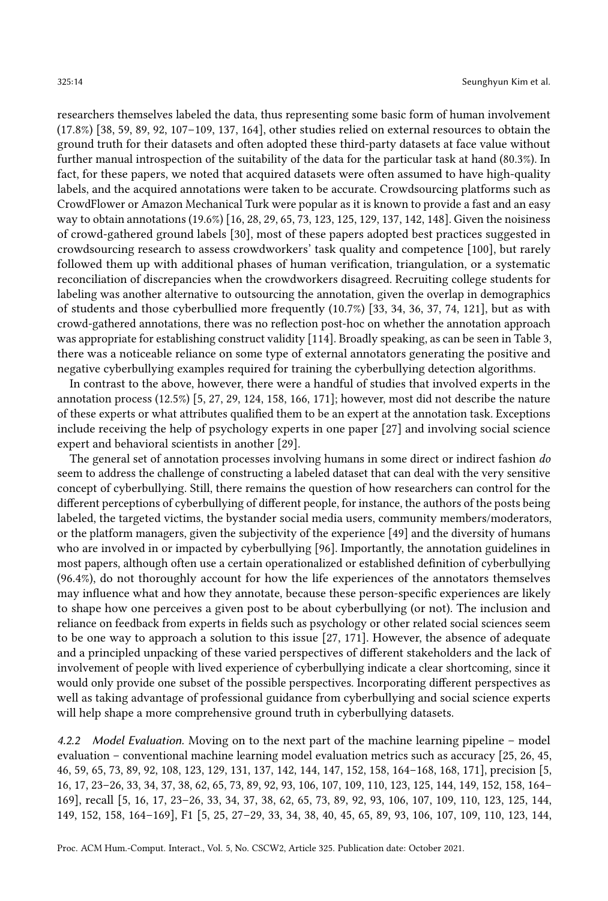researchers themselves labeled the data, thus representing some basic form of human involvement (17.8%) [\[38,](#page-27-3) [59,](#page-28-8) [89,](#page-29-11) [92,](#page-29-12) [107](#page-30-6)[–109,](#page-30-7) [137,](#page-31-7) [164\]](#page-32-11), other studies relied on external resources to obtain the ground truth for their datasets and often adopted these third-party datasets at face value without further manual introspection of the suitability of the data for the particular task at hand (80.3%). In fact, for these papers, we noted that acquired datasets were often assumed to have high-quality labels, and the acquired annotations were taken to be accurate. Crowdsourcing platforms such as CrowdFlower or Amazon Mechanical Turk were popular as it is known to provide a fast and an easy way to obtain annotations (19.6%) [\[16,](#page-26-14) [28,](#page-26-11) [29,](#page-26-5) [65,](#page-28-10) [73,](#page-28-11) [123,](#page-30-10) [125,](#page-30-11) [129,](#page-31-13) [137,](#page-31-7) [142,](#page-31-8) [148\]](#page-31-12). Given the noisiness of crowd-gathered ground labels [\[30\]](#page-26-17), most of these papers adopted best practices suggested in crowdsourcing research to assess crowdworkers' task quality and competence [\[100\]](#page-29-15), but rarely followed them up with additional phases of human verification, triangulation, or a systematic reconciliation of discrepancies when the crowdworkers disagreed. Recruiting college students for labeling was another alternative to outsourcing the annotation, given the overlap in demographics of students and those cyberbullied more frequently (10.7%) [\[33,](#page-26-12) [34,](#page-26-1) [36,](#page-27-11) [37,](#page-27-7) [74,](#page-28-12) [121\]](#page-30-9), but as with crowd-gathered annotations, there was no reflection post-hoc on whether the annotation approach was appropriate for establishing construct validity [\[114\]](#page-30-19). Broadly speaking, as can be seen in Table [3,](#page-12-0) there was a noticeable reliance on some type of external annotators generating the positive and negative cyberbullying examples required for training the cyberbullying detection algorithms.

In contrast to the above, however, there were a handful of studies that involved experts in the annotation process (12.5%) [\[5,](#page-25-6) [27,](#page-26-15) [29,](#page-26-5) [124,](#page-30-13) [158,](#page-32-10) [166,](#page-32-17) [171\]](#page-33-2); however, most did not describe the nature of these experts or what attributes qualified them to be an expert at the annotation task. Exceptions include receiving the help of psychology experts in one paper [\[27\]](#page-26-15) and involving social science expert and behavioral scientists in another [\[29\]](#page-26-5).

The general set of annotation processes involving humans in some direct or indirect fashion do seem to address the challenge of constructing a labeled dataset that can deal with the very sensitive concept of cyberbullying. Still, there remains the question of how researchers can control for the different perceptions of cyberbullying of different people, for instance, the authors of the posts being labeled, the targeted victims, the bystander social media users, community members/moderators, or the platform managers, given the subjectivity of the experience [\[49\]](#page-27-14) and the diversity of humans who are involved in or impacted by cyberbullying [\[96\]](#page-29-16). Importantly, the annotation guidelines in most papers, although often use a certain operationalized or established definition of cyberbullying (96.4%), do not thoroughly account for how the life experiences of the annotators themselves may influence what and how they annotate, because these person-specific experiences are likely to shape how one perceives a given post to be about cyberbullying (or not). The inclusion and reliance on feedback from experts in fields such as psychology or other related social sciences seem to be one way to approach a solution to this issue [\[27,](#page-26-15) [171\]](#page-33-2). However, the absence of adequate and a principled unpacking of these varied perspectives of different stakeholders and the lack of involvement of people with lived experience of cyberbullying indicate a clear shortcoming, since it would only provide one subset of the possible perspectives. Incorporating different perspectives as well as taking advantage of professional guidance from cyberbullying and social science experts will help shape a more comprehensive ground truth in cyberbullying datasets.

4.2.2 Model Evaluation. Moving on to the next part of the machine learning pipeline – model evaluation – conventional machine learning model evaluation metrics such as accuracy [\[25,](#page-26-13) [26,](#page-26-10) [45,](#page-27-8) [46,](#page-27-9) [59,](#page-28-8) [65,](#page-28-10) [73,](#page-28-11) [89,](#page-29-11) [92,](#page-29-12) [108,](#page-30-15) [123,](#page-30-10) [129,](#page-31-13) [131,](#page-31-6) [137,](#page-31-7) [142,](#page-31-8) [144,](#page-31-9) [147,](#page-31-10) [152,](#page-32-7) [158,](#page-32-10) [164–](#page-32-11)[168,](#page-32-12) [168,](#page-32-12) [171\]](#page-33-2), precision [\[5,](#page-25-6) [16,](#page-26-14) [17,](#page-26-8) [23–](#page-26-9)[26,](#page-26-10) [33,](#page-26-12) [34,](#page-26-1) [37,](#page-27-7) [38,](#page-27-3) [62,](#page-28-9) [65,](#page-28-10) [73,](#page-28-11) [89,](#page-29-11) [92,](#page-29-12) [93,](#page-29-13) [106,](#page-30-14) [107,](#page-30-6) [109,](#page-30-7) [110,](#page-30-8) [123,](#page-30-10) [125,](#page-30-11) [144,](#page-31-9) [149,](#page-31-11) [152,](#page-32-7) [158,](#page-32-10) [164–](#page-32-11) [169\]](#page-32-15), recall [\[5,](#page-25-6) [16,](#page-26-14) [17,](#page-26-8) [23–](#page-26-9)[26,](#page-26-10) [33,](#page-26-12) [34,](#page-26-1) [37,](#page-27-7) [38,](#page-27-3) [62,](#page-28-9) [65,](#page-28-10) [73,](#page-28-11) [89,](#page-29-11) [92,](#page-29-12) [93,](#page-29-13) [106,](#page-30-14) [107,](#page-30-6) [109,](#page-30-7) [110,](#page-30-8) [123,](#page-30-10) [125,](#page-30-11) [144,](#page-31-9) [149,](#page-31-11) [152,](#page-32-7) [158,](#page-32-10) [164–](#page-32-11)[169\]](#page-32-15), F1 [\[5,](#page-25-6) [25,](#page-26-13) [27–](#page-26-15)[29,](#page-26-5) [33,](#page-26-12) [34,](#page-26-1) [38,](#page-27-3) [40,](#page-27-12) [45,](#page-27-8) [65,](#page-28-10) [89,](#page-29-11) [93,](#page-29-13) [106,](#page-30-14) [107,](#page-30-6) [109,](#page-30-7) [110,](#page-30-8) [123,](#page-30-10) [144,](#page-31-9)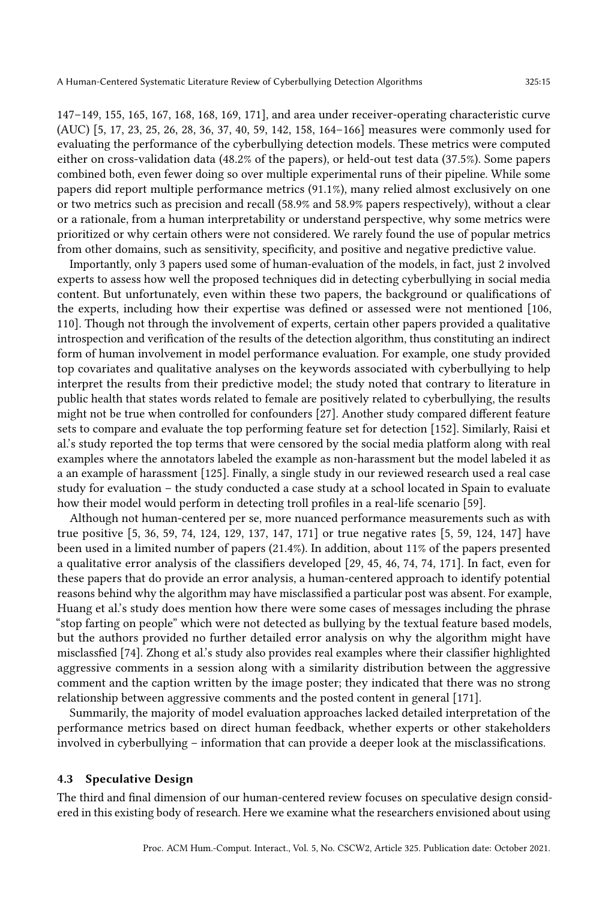[147](#page-31-10)[–149,](#page-31-11) [155,](#page-32-8) [165,](#page-32-13) [167,](#page-32-14) [168,](#page-32-12) [168,](#page-32-12) [169,](#page-32-15) [171\]](#page-33-2), and area under receiver-operating characteristic curve (AUC) [\[5,](#page-25-6) [17,](#page-26-8) [23,](#page-26-9) [25,](#page-26-13) [26,](#page-26-10) [28,](#page-26-11) [36,](#page-27-11) [37,](#page-27-7) [40,](#page-27-12) [59,](#page-28-8) [142,](#page-31-8) [158,](#page-32-10) [164](#page-32-11)[–166\]](#page-32-17) measures were commonly used for evaluating the performance of the cyberbullying detection models. These metrics were computed either on cross-validation data (48.2% of the papers), or held-out test data (37.5%). Some papers combined both, even fewer doing so over multiple experimental runs of their pipeline. While some papers did report multiple performance metrics (91.1%), many relied almost exclusively on one or two metrics such as precision and recall (58.9% and 58.9% papers respectively), without a clear or a rationale, from a human interpretability or understand perspective, why some metrics were prioritized or why certain others were not considered. We rarely found the use of popular metrics from other domains, such as sensitivity, specificity, and positive and negative predictive value.

Importantly, only 3 papers used some of human-evaluation of the models, in fact, just 2 involved experts to assess how well the proposed techniques did in detecting cyberbullying in social media content. But unfortunately, even within these two papers, the background or qualifications of the experts, including how their expertise was defined or assessed were not mentioned [\[106,](#page-30-14) [110\]](#page-30-8). Though not through the involvement of experts, certain other papers provided a qualitative introspection and verification of the results of the detection algorithm, thus constituting an indirect form of human involvement in model performance evaluation. For example, one study provided top covariates and qualitative analyses on the keywords associated with cyberbullying to help interpret the results from their predictive model; the study noted that contrary to literature in public health that states words related to female are positively related to cyberbullying, the results might not be true when controlled for confounders [\[27\]](#page-26-15). Another study compared different feature sets to compare and evaluate the top performing feature set for detection [\[152\]](#page-32-7). Similarly, Raisi et al.'s study reported the top terms that were censored by the social media platform along with real examples where the annotators labeled the example as non-harassment but the model labeled it as a an example of harassment [\[125\]](#page-30-11). Finally, a single study in our reviewed research used a real case study for evaluation – the study conducted a case study at a school located in Spain to evaluate how their model would perform in detecting troll profiles in a real-life scenario [\[59\]](#page-28-8).

Although not human-centered per se, more nuanced performance measurements such as with true positive [\[5,](#page-25-6) [36,](#page-27-11) [59,](#page-28-8) [74,](#page-28-12) [124,](#page-30-13) [129,](#page-31-13) [137,](#page-31-7) [147,](#page-31-10) [171\]](#page-33-2) or true negative rates [\[5,](#page-25-6) [59,](#page-28-8) [124,](#page-30-13) [147\]](#page-31-10) have been used in a limited number of papers (21.4%). In addition, about 11% of the papers presented a qualitative error analysis of the classifiers developed [\[29,](#page-26-5) [45,](#page-27-8) [46,](#page-27-9) [74,](#page-28-12) [74,](#page-28-12) [171\]](#page-33-2). In fact, even for these papers that do provide an error analysis, a human-centered approach to identify potential reasons behind why the algorithm may have misclassified a particular post was absent. For example, Huang et al.'s study does mention how there were some cases of messages including the phrase "stop farting on people" which were not detected as bullying by the textual feature based models, but the authors provided no further detailed error analysis on why the algorithm might have misclassfied [\[74\]](#page-28-12). Zhong et al.'s study also provides real examples where their classifier highlighted aggressive comments in a session along with a similarity distribution between the aggressive comment and the caption written by the image poster; they indicated that there was no strong relationship between aggressive comments and the posted content in general [\[171\]](#page-33-2).

Summarily, the majority of model evaluation approaches lacked detailed interpretation of the performance metrics based on direct human feedback, whether experts or other stakeholders involved in cyberbullying – information that can provide a deeper look at the misclassifications.

#### 4.3 Speculative Design

The third and final dimension of our human-centered review focuses on speculative design considered in this existing body of research. Here we examine what the researchers envisioned about using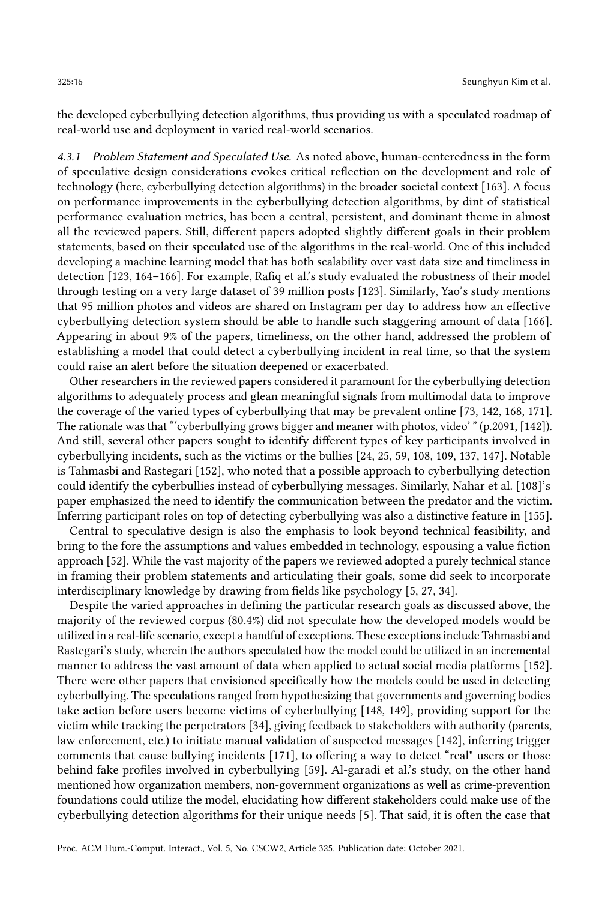the developed cyberbullying detection algorithms, thus providing us with a speculated roadmap of real-world use and deployment in varied real-world scenarios.

4.3.1 Problem Statement and Speculated Use. As noted above, human-centeredness in the form of speculative design considerations evokes critical reflection on the development and role of technology (here, cyberbullying detection algorithms) in the broader societal context [\[163\]](#page-32-18). A focus on performance improvements in the cyberbullying detection algorithms, by dint of statistical performance evaluation metrics, has been a central, persistent, and dominant theme in almost all the reviewed papers. Still, different papers adopted slightly different goals in their problem statements, based on their speculated use of the algorithms in the real-world. One of this included developing a machine learning model that has both scalability over vast data size and timeliness in detection [\[123,](#page-30-10) [164](#page-32-11)[–166\]](#page-32-17). For example, Rafiq et al.'s study evaluated the robustness of their model through testing on a very large dataset of 39 million posts [\[123\]](#page-30-10). Similarly, Yao's study mentions that 95 million photos and videos are shared on Instagram per day to address how an effective cyberbullying detection system should be able to handle such staggering amount of data [\[166\]](#page-32-17). Appearing in about 9% of the papers, timeliness, on the other hand, addressed the problem of establishing a model that could detect a cyberbullying incident in real time, so that the system could raise an alert before the situation deepened or exacerbated.

Other researchers in the reviewed papers considered it paramount for the cyberbullying detection algorithms to adequately process and glean meaningful signals from multimodal data to improve the coverage of the varied types of cyberbullying that may be prevalent online [\[73,](#page-28-11) [142,](#page-31-8) [168,](#page-32-12) [171\]](#page-33-2). The rationale was that "'cyberbullying grows bigger and meaner with photos, video' " (p.2091, [\[142\]](#page-31-8)). And still, several other papers sought to identify different types of key participants involved in cyberbullying incidents, such as the victims or the bullies [\[24,](#page-26-16) [25,](#page-26-13) [59,](#page-28-8) [108,](#page-30-15) [109,](#page-30-7) [137,](#page-31-7) [147\]](#page-31-10). Notable is Tahmasbi and Rastegari [\[152\]](#page-32-7), who noted that a possible approach to cyberbullying detection could identify the cyberbullies instead of cyberbullying messages. Similarly, Nahar et al. [\[108\]](#page-30-15)'s paper emphasized the need to identify the communication between the predator and the victim. Inferring participant roles on top of detecting cyberbullying was also a distinctive feature in [\[155\]](#page-32-8).

Central to speculative design is also the emphasis to look beyond technical feasibility, and bring to the fore the assumptions and values embedded in technology, espousing a value fiction approach [\[52\]](#page-27-15). While the vast majority of the papers we reviewed adopted a purely technical stance in framing their problem statements and articulating their goals, some did seek to incorporate interdisciplinary knowledge by drawing from fields like psychology [\[5,](#page-25-6) [27,](#page-26-15) [34\]](#page-26-1).

Despite the varied approaches in defining the particular research goals as discussed above, the majority of the reviewed corpus (80.4%) did not speculate how the developed models would be utilized in a real-life scenario, except a handful of exceptions. These exceptions include Tahmasbi and Rastegari's study, wherein the authors speculated how the model could be utilized in an incremental manner to address the vast amount of data when applied to actual social media platforms [\[152\]](#page-32-7). There were other papers that envisioned specifically how the models could be used in detecting cyberbullying. The speculations ranged from hypothesizing that governments and governing bodies take action before users become victims of cyberbullying [\[148,](#page-31-12) [149\]](#page-31-11), providing support for the victim while tracking the perpetrators [\[34\]](#page-26-1), giving feedback to stakeholders with authority (parents, law enforcement, etc.) to initiate manual validation of suspected messages [\[142\]](#page-31-8), inferring trigger comments that cause bullying incidents [\[171\]](#page-33-2), to offering a way to detect "real" users or those behind fake profiles involved in cyberbullying [\[59\]](#page-28-8). Al-garadi et al.'s study, on the other hand mentioned how organization members, non-government organizations as well as crime-prevention foundations could utilize the model, elucidating how different stakeholders could make use of the cyberbullying detection algorithms for their unique needs [\[5\]](#page-25-6). That said, it is often the case that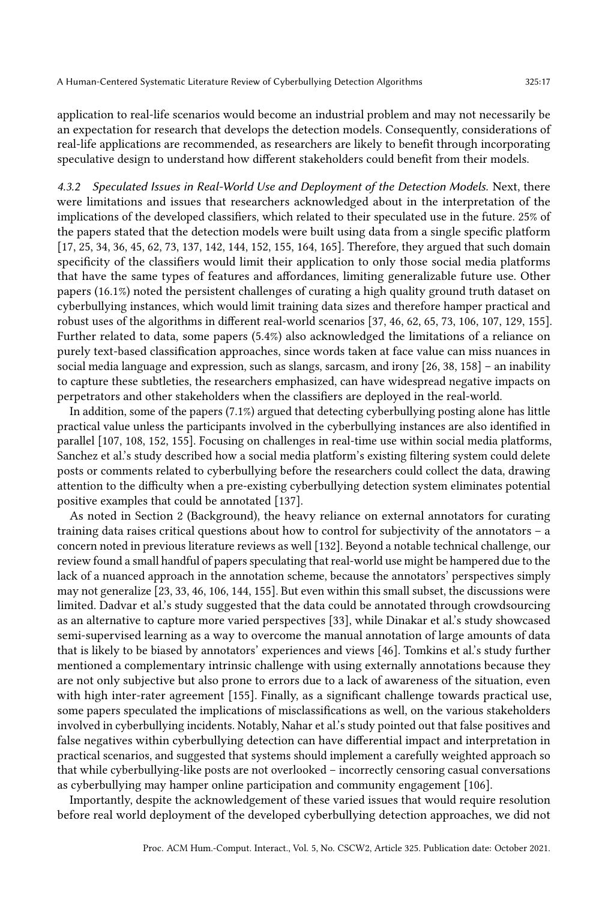application to real-life scenarios would become an industrial problem and may not necessarily be an expectation for research that develops the detection models. Consequently, considerations of real-life applications are recommended, as researchers are likely to benefit through incorporating speculative design to understand how different stakeholders could benefit from their models.

4.3.2 Speculated Issues in Real-World Use and Deployment of the Detection Models. Next, there were limitations and issues that researchers acknowledged about in the interpretation of the implications of the developed classifiers, which related to their speculated use in the future. 25% of the papers stated that the detection models were built using data from a single specific platform [\[17,](#page-26-8) [25,](#page-26-13) [34,](#page-26-1) [36,](#page-27-11) [45,](#page-27-8) [62,](#page-28-9) [73,](#page-28-11) [137,](#page-31-7) [142,](#page-31-8) [144,](#page-31-9) [152,](#page-32-7) [155,](#page-32-8) [164,](#page-32-11) [165\]](#page-32-13). Therefore, they argued that such domain specificity of the classifiers would limit their application to only those social media platforms that have the same types of features and affordances, limiting generalizable future use. Other papers (16.1%) noted the persistent challenges of curating a high quality ground truth dataset on cyberbullying instances, which would limit training data sizes and therefore hamper practical and robust uses of the algorithms in different real-world scenarios [\[37,](#page-27-7) [46,](#page-27-9) [62,](#page-28-9) [65,](#page-28-10) [73,](#page-28-11) [106,](#page-30-14) [107,](#page-30-6) [129,](#page-31-13) [155\]](#page-32-8). Further related to data, some papers (5.4%) also acknowledged the limitations of a reliance on purely text-based classification approaches, since words taken at face value can miss nuances in social media language and expression, such as slangs, sarcasm, and irony [\[26,](#page-26-10) [38,](#page-27-3) [158\]](#page-32-10) – an inability to capture these subtleties, the researchers emphasized, can have widespread negative impacts on perpetrators and other stakeholders when the classifiers are deployed in the real-world.

In addition, some of the papers (7.1%) argued that detecting cyberbullying posting alone has little practical value unless the participants involved in the cyberbullying instances are also identified in parallel [\[107,](#page-30-6) [108,](#page-30-15) [152,](#page-32-7) [155\]](#page-32-8). Focusing on challenges in real-time use within social media platforms, Sanchez et al.'s study described how a social media platform's existing filtering system could delete posts or comments related to cyberbullying before the researchers could collect the data, drawing attention to the difficulty when a pre-existing cyberbullying detection system eliminates potential positive examples that could be annotated [\[137\]](#page-31-7).

As noted in Section 2 (Background), the heavy reliance on external annotators for curating training data raises critical questions about how to control for subjectivity of the annotators – a concern noted in previous literature reviews as well [\[132\]](#page-31-1). Beyond a notable technical challenge, our review found a small handful of papers speculating that real-world use might be hampered due to the lack of a nuanced approach in the annotation scheme, because the annotators' perspectives simply may not generalize [\[23,](#page-26-9) [33,](#page-26-12) [46,](#page-27-9) [106,](#page-30-14) [144,](#page-31-9) [155\]](#page-32-8). But even within this small subset, the discussions were limited. Dadvar et al.'s study suggested that the data could be annotated through crowdsourcing as an alternative to capture more varied perspectives [\[33\]](#page-26-12), while Dinakar et al.'s study showcased semi-supervised learning as a way to overcome the manual annotation of large amounts of data that is likely to be biased by annotators' experiences and views [\[46\]](#page-27-9). Tomkins et al.'s study further mentioned a complementary intrinsic challenge with using externally annotations because they are not only subjective but also prone to errors due to a lack of awareness of the situation, even with high inter-rater agreement [\[155\]](#page-32-8). Finally, as a significant challenge towards practical use, some papers speculated the implications of misclassifications as well, on the various stakeholders involved in cyberbullying incidents. Notably, Nahar et al.'s study pointed out that false positives and false negatives within cyberbullying detection can have differential impact and interpretation in practical scenarios, and suggested that systems should implement a carefully weighted approach so that while cyberbullying-like posts are not overlooked – incorrectly censoring casual conversations as cyberbullying may hamper online participation and community engagement [\[106\]](#page-30-14).

Importantly, despite the acknowledgement of these varied issues that would require resolution before real world deployment of the developed cyberbullying detection approaches, we did not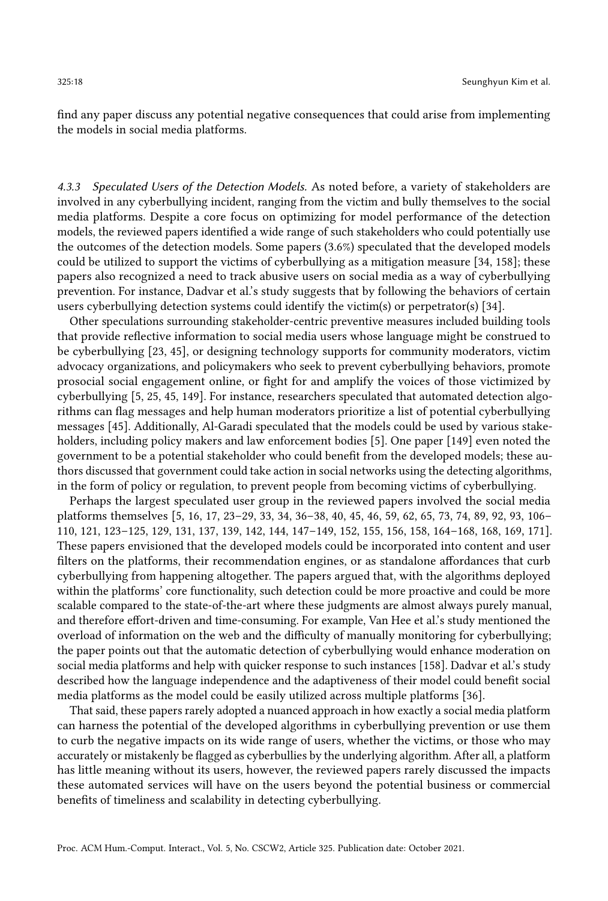find any paper discuss any potential negative consequences that could arise from implementing the models in social media platforms.

4.3.3 Speculated Users of the Detection Models. As noted before, a variety of stakeholders are involved in any cyberbullying incident, ranging from the victim and bully themselves to the social media platforms. Despite a core focus on optimizing for model performance of the detection models, the reviewed papers identified a wide range of such stakeholders who could potentially use the outcomes of the detection models. Some papers (3.6%) speculated that the developed models could be utilized to support the victims of cyberbullying as a mitigation measure [\[34,](#page-26-1) [158\]](#page-32-10); these papers also recognized a need to track abusive users on social media as a way of cyberbullying prevention. For instance, Dadvar et al.'s study suggests that by following the behaviors of certain users cyberbullying detection systems could identify the victim(s) or perpetrator(s) [\[34\]](#page-26-1).

Other speculations surrounding stakeholder-centric preventive measures included building tools that provide reflective information to social media users whose language might be construed to be cyberbullying [\[23,](#page-26-9) [45\]](#page-27-8), or designing technology supports for community moderators, victim advocacy organizations, and policymakers who seek to prevent cyberbullying behaviors, promote prosocial social engagement online, or fight for and amplify the voices of those victimized by cyberbullying [\[5,](#page-25-6) [25,](#page-26-13) [45,](#page-27-8) [149\]](#page-31-11). For instance, researchers speculated that automated detection algorithms can flag messages and help human moderators prioritize a list of potential cyberbullying messages [\[45\]](#page-27-8). Additionally, Al-Garadi speculated that the models could be used by various stakeholders, including policy makers and law enforcement bodies [\[5\]](#page-25-6). One paper [\[149\]](#page-31-11) even noted the government to be a potential stakeholder who could benefit from the developed models; these authors discussed that government could take action in social networks using the detecting algorithms, in the form of policy or regulation, to prevent people from becoming victims of cyberbullying.

Perhaps the largest speculated user group in the reviewed papers involved the social media platforms themselves [\[5,](#page-25-6) [16,](#page-26-14) [17,](#page-26-8) [23–](#page-26-9)[29,](#page-26-5) [33,](#page-26-12) [34,](#page-26-1) [36](#page-27-11)[–38,](#page-27-3) [40,](#page-27-12) [45,](#page-27-8) [46,](#page-27-9) [59,](#page-28-8) [62,](#page-28-9) [65,](#page-28-10) [73,](#page-28-11) [74,](#page-28-12) [89,](#page-29-11) [92,](#page-29-12) [93,](#page-29-13) [106–](#page-30-14) [110,](#page-30-8) [121,](#page-30-9) [123](#page-30-10)[–125,](#page-30-11) [129,](#page-31-13) [131,](#page-31-6) [137,](#page-31-7) [139,](#page-31-14) [142,](#page-31-8) [144,](#page-31-9) [147](#page-31-10)[–149,](#page-31-11) [152,](#page-32-7) [155,](#page-32-8) [156,](#page-32-9) [158,](#page-32-10) [164](#page-32-11)[–168,](#page-32-12) [168,](#page-32-12) [169,](#page-32-15) [171\]](#page-33-2). These papers envisioned that the developed models could be incorporated into content and user filters on the platforms, their recommendation engines, or as standalone affordances that curb cyberbullying from happening altogether. The papers argued that, with the algorithms deployed within the platforms' core functionality, such detection could be more proactive and could be more scalable compared to the state-of-the-art where these judgments are almost always purely manual, and therefore effort-driven and time-consuming. For example, Van Hee et al.'s study mentioned the overload of information on the web and the difficulty of manually monitoring for cyberbullying; the paper points out that the automatic detection of cyberbullying would enhance moderation on social media platforms and help with quicker response to such instances [\[158\]](#page-32-10). Dadvar et al.'s study described how the language independence and the adaptiveness of their model could benefit social media platforms as the model could be easily utilized across multiple platforms [\[36\]](#page-27-11).

That said, these papers rarely adopted a nuanced approach in how exactly a social media platform can harness the potential of the developed algorithms in cyberbullying prevention or use them to curb the negative impacts on its wide range of users, whether the victims, or those who may accurately or mistakenly be flagged as cyberbullies by the underlying algorithm. After all, a platform has little meaning without its users, however, the reviewed papers rarely discussed the impacts these automated services will have on the users beyond the potential business or commercial benefits of timeliness and scalability in detecting cyberbullying.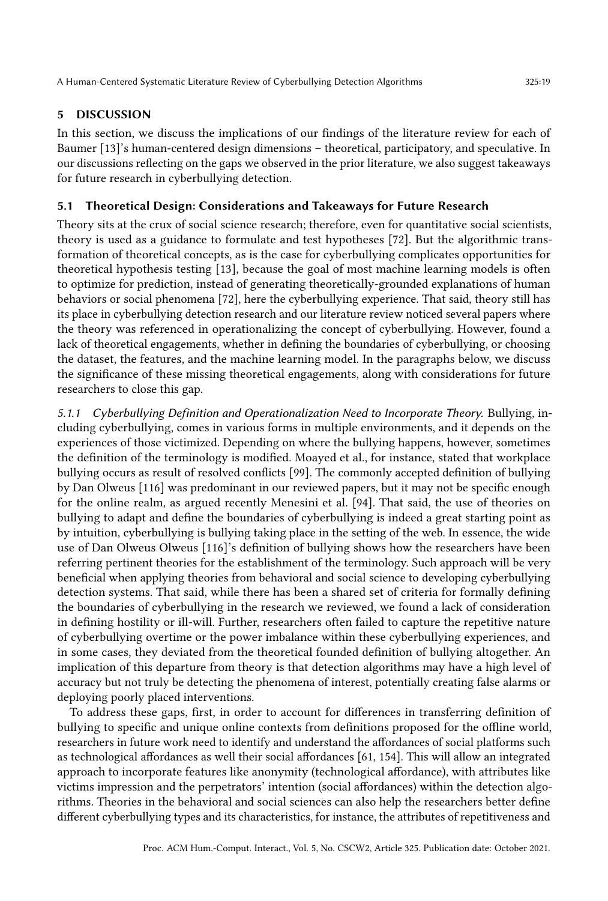# 5 DISCUSSION

In this section, we discuss the implications of our findings of the literature review for each of Baumer [\[13\]](#page-26-4)'s human-centered design dimensions – theoretical, participatory, and speculative. In our discussions reflecting on the gaps we observed in the prior literature, we also suggest takeaways for future research in cyberbullying detection.

# 5.1 Theoretical Design: Considerations and Takeaways for Future Research

Theory sits at the crux of social science research; therefore, even for quantitative social scientists, theory is used as a guidance to formulate and test hypotheses [\[72\]](#page-28-13). But the algorithmic transformation of theoretical concepts, as is the case for cyberbullying complicates opportunities for theoretical hypothesis testing [\[13\]](#page-26-4), because the goal of most machine learning models is often to optimize for prediction, instead of generating theoretically-grounded explanations of human behaviors or social phenomena [\[72\]](#page-28-13), here the cyberbullying experience. That said, theory still has its place in cyberbullying detection research and our literature review noticed several papers where the theory was referenced in operationalizing the concept of cyberbullying. However, found a lack of theoretical engagements, whether in defining the boundaries of cyberbullying, or choosing the dataset, the features, and the machine learning model. In the paragraphs below, we discuss the significance of these missing theoretical engagements, along with considerations for future researchers to close this gap.

5.1.1 Cyberbullying Definition and Operationalization Need to Incorporate Theory. Bullying, including cyberbullying, comes in various forms in multiple environments, and it depends on the experiences of those victimized. Depending on where the bullying happens, however, sometimes the definition of the terminology is modified. Moayed et al., for instance, stated that workplace bullying occurs as result of resolved conflicts [\[99\]](#page-29-17). The commonly accepted definition of bullying by Dan Olweus [\[116\]](#page-30-12) was predominant in our reviewed papers, but it may not be specific enough for the online realm, as argued recently Menesini et al. [\[94\]](#page-29-18). That said, the use of theories on bullying to adapt and define the boundaries of cyberbullying is indeed a great starting point as by intuition, cyberbullying is bullying taking place in the setting of the web. In essence, the wide use of Dan Olweus Olweus [\[116\]](#page-30-12)'s definition of bullying shows how the researchers have been referring pertinent theories for the establishment of the terminology. Such approach will be very beneficial when applying theories from behavioral and social science to developing cyberbullying detection systems. That said, while there has been a shared set of criteria for formally defining the boundaries of cyberbullying in the research we reviewed, we found a lack of consideration in defining hostility or ill-will. Further, researchers often failed to capture the repetitive nature of cyberbullying overtime or the power imbalance within these cyberbullying experiences, and in some cases, they deviated from the theoretical founded definition of bullying altogether. An implication of this departure from theory is that detection algorithms may have a high level of accuracy but not truly be detecting the phenomena of interest, potentially creating false alarms or deploying poorly placed interventions.

To address these gaps, first, in order to account for differences in transferring definition of bullying to specific and unique online contexts from definitions proposed for the offline world, researchers in future work need to identify and understand the affordances of social platforms such as technological affordances as well their social affordances [\[61,](#page-28-14) [154\]](#page-32-5). This will allow an integrated approach to incorporate features like anonymity (technological affordance), with attributes like victims impression and the perpetrators' intention (social affordances) within the detection algorithms. Theories in the behavioral and social sciences can also help the researchers better define different cyberbullying types and its characteristics, for instance, the attributes of repetitiveness and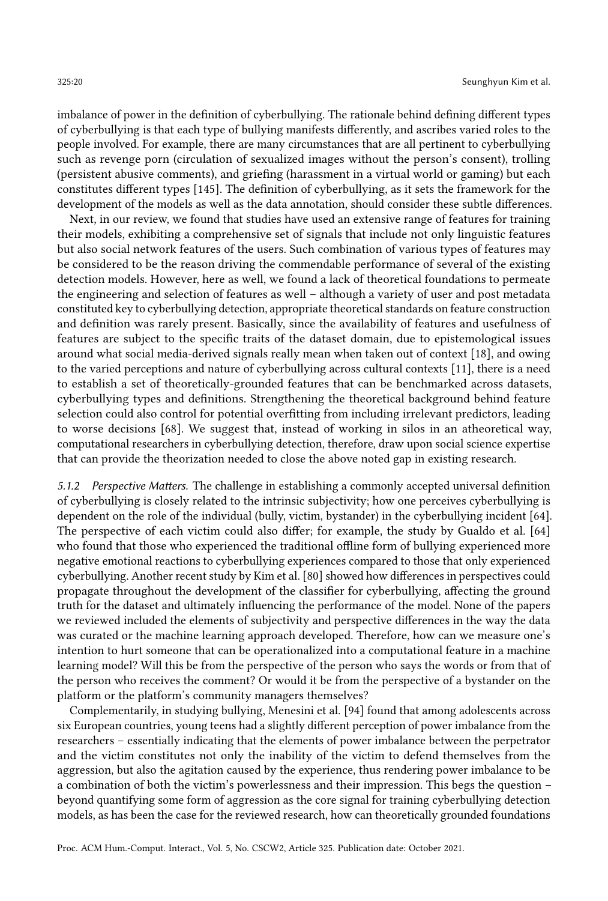imbalance of power in the definition of cyberbullying. The rationale behind defining different types of cyberbullying is that each type of bullying manifests differently, and ascribes varied roles to the people involved. For example, there are many circumstances that are all pertinent to cyberbullying such as revenge porn (circulation of sexualized images without the person's consent), trolling (persistent abusive comments), and griefing (harassment in a virtual world or gaming) but each constitutes different types [\[145\]](#page-31-16). The definition of cyberbullying, as it sets the framework for the development of the models as well as the data annotation, should consider these subtle differences.

Next, in our review, we found that studies have used an extensive range of features for training their models, exhibiting a comprehensive set of signals that include not only linguistic features but also social network features of the users. Such combination of various types of features may be considered to be the reason driving the commendable performance of several of the existing detection models. However, here as well, we found a lack of theoretical foundations to permeate the engineering and selection of features as well – although a variety of user and post metadata constituted key to cyberbullying detection, appropriate theoretical standards on feature construction and definition was rarely present. Basically, since the availability of features and usefulness of features are subject to the specific traits of the dataset domain, due to epistemological issues around what social media-derived signals really mean when taken out of context [\[18\]](#page-26-18), and owing to the varied perceptions and nature of cyberbullying across cultural contexts [\[11\]](#page-25-8), there is a need to establish a set of theoretically-grounded features that can be benchmarked across datasets, cyberbullying types and definitions. Strengthening the theoretical background behind feature selection could also control for potential overfitting from including irrelevant predictors, leading to worse decisions [\[68\]](#page-28-15). We suggest that, instead of working in silos in an atheoretical way, computational researchers in cyberbullying detection, therefore, draw upon social science expertise that can provide the theorization needed to close the above noted gap in existing research.

5.1.2 Perspective Matters. The challenge in establishing a commonly accepted universal definition of cyberbullying is closely related to the intrinsic subjectivity; how one perceives cyberbullying is dependent on the role of the individual (bully, victim, bystander) in the cyberbullying incident [\[64\]](#page-28-1). The perspective of each victim could also differ; for example, the study by Gualdo et al. [\[64\]](#page-28-1) who found that those who experienced the traditional offline form of bullying experienced more negative emotional reactions to cyberbullying experiences compared to those that only experienced cyberbullying. Another recent study by Kim et al. [\[80\]](#page-28-16) showed how differences in perspectives could propagate throughout the development of the classifier for cyberbullying, affecting the ground truth for the dataset and ultimately influencing the performance of the model. None of the papers we reviewed included the elements of subjectivity and perspective differences in the way the data was curated or the machine learning approach developed. Therefore, how can we measure one's intention to hurt someone that can be operationalized into a computational feature in a machine learning model? Will this be from the perspective of the person who says the words or from that of the person who receives the comment? Or would it be from the perspective of a bystander on the platform or the platform's community managers themselves?

Complementarily, in studying bullying, Menesini et al. [\[94\]](#page-29-18) found that among adolescents across six European countries, young teens had a slightly different perception of power imbalance from the researchers – essentially indicating that the elements of power imbalance between the perpetrator and the victim constitutes not only the inability of the victim to defend themselves from the aggression, but also the agitation caused by the experience, thus rendering power imbalance to be a combination of both the victim's powerlessness and their impression. This begs the question – beyond quantifying some form of aggression as the core signal for training cyberbullying detection models, as has been the case for the reviewed research, how can theoretically grounded foundations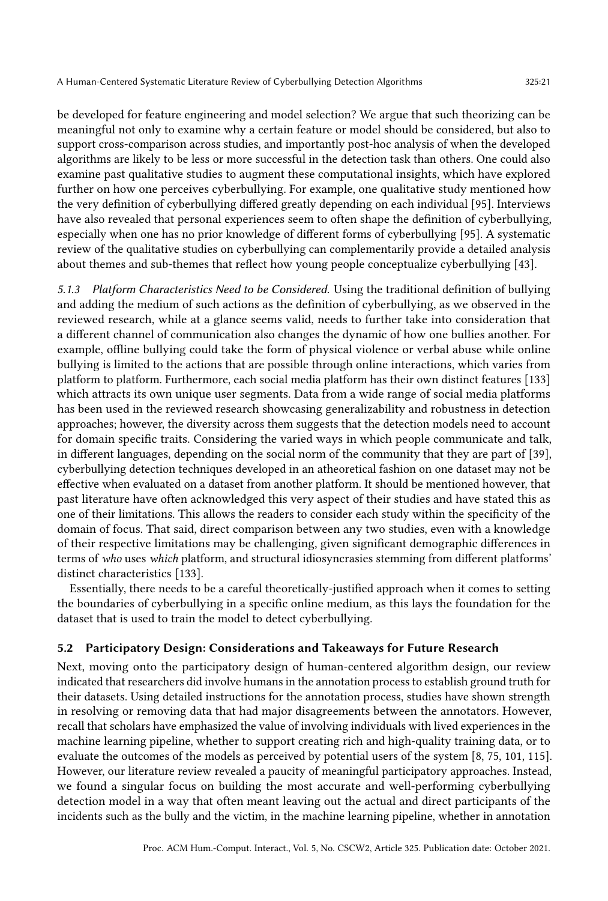be developed for feature engineering and model selection? We argue that such theorizing can be meaningful not only to examine why a certain feature or model should be considered, but also to support cross-comparison across studies, and importantly post-hoc analysis of when the developed algorithms are likely to be less or more successful in the detection task than others. One could also examine past qualitative studies to augment these computational insights, which have explored further on how one perceives cyberbullying. For example, one qualitative study mentioned how the very definition of cyberbullying differed greatly depending on each individual [\[95\]](#page-29-19). Interviews have also revealed that personal experiences seem to often shape the definition of cyberbullying, especially when one has no prior knowledge of different forms of cyberbullying [\[95\]](#page-29-19). A systematic review of the qualitative studies on cyberbullying can complementarily provide a detailed analysis about themes and sub-themes that reflect how young people conceptualize cyberbullying [\[43\]](#page-27-16).

5.1.3 Platform Characteristics Need to be Considered. Using the traditional definition of bullying and adding the medium of such actions as the definition of cyberbullying, as we observed in the reviewed research, while at a glance seems valid, needs to further take into consideration that a different channel of communication also changes the dynamic of how one bullies another. For example, offline bullying could take the form of physical violence or verbal abuse while online bullying is limited to the actions that are possible through online interactions, which varies from platform to platform. Furthermore, each social media platform has their own distinct features [\[133\]](#page-31-17) which attracts its own unique user segments. Data from a wide range of social media platforms has been used in the reviewed research showcasing generalizability and robustness in detection approaches; however, the diversity across them suggests that the detection models need to account for domain specific traits. Considering the varied ways in which people communicate and talk, in different languages, depending on the social norm of the community that they are part of [\[39\]](#page-27-17), cyberbullying detection techniques developed in an atheoretical fashion on one dataset may not be effective when evaluated on a dataset from another platform. It should be mentioned however, that past literature have often acknowledged this very aspect of their studies and have stated this as one of their limitations. This allows the readers to consider each study within the specificity of the domain of focus. That said, direct comparison between any two studies, even with a knowledge of their respective limitations may be challenging, given significant demographic differences in terms of who uses which platform, and structural idiosyncrasies stemming from different platforms' distinct characteristics [\[133\]](#page-31-17).

Essentially, there needs to be a careful theoretically-justified approach when it comes to setting the boundaries of cyberbullying in a specific online medium, as this lays the foundation for the dataset that is used to train the model to detect cyberbullying.

#### 5.2 Participatory Design: Considerations and Takeaways for Future Research

Next, moving onto the participatory design of human-centered algorithm design, our review indicated that researchers did involve humans in the annotation process to establish ground truth for their datasets. Using detailed instructions for the annotation process, studies have shown strength in resolving or removing data that had major disagreements between the annotators. However, recall that scholars have emphasized the value of involving individuals with lived experiences in the machine learning pipeline, whether to support creating rich and high-quality training data, or to evaluate the outcomes of the models as perceived by potential users of the system [\[8,](#page-25-2) [75,](#page-28-17) [101,](#page-29-7) [115\]](#page-30-20). However, our literature review revealed a paucity of meaningful participatory approaches. Instead, we found a singular focus on building the most accurate and well-performing cyberbullying detection model in a way that often meant leaving out the actual and direct participants of the incidents such as the bully and the victim, in the machine learning pipeline, whether in annotation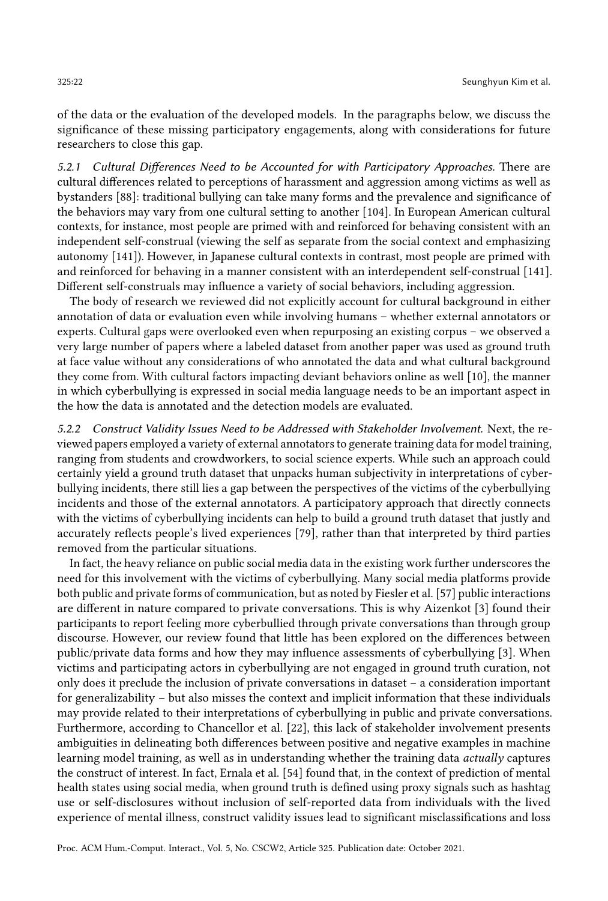of the data or the evaluation of the developed models. In the paragraphs below, we discuss the significance of these missing participatory engagements, along with considerations for future researchers to close this gap.

5.2.1 Cultural Differences Need to be Accounted for with Participatory Approaches. There are cultural differences related to perceptions of harassment and aggression among victims as well as bystanders [\[88\]](#page-29-20): traditional bullying can take many forms and the prevalence and significance of the behaviors may vary from one cultural setting to another [\[104\]](#page-30-21). In European American cultural contexts, for instance, most people are primed with and reinforced for behaving consistent with an independent self-construal (viewing the self as separate from the social context and emphasizing autonomy [\[141\]](#page-31-18)). However, in Japanese cultural contexts in contrast, most people are primed with and reinforced for behaving in a manner consistent with an interdependent self-construal [\[141\]](#page-31-18). Different self-construals may influence a variety of social behaviors, including aggression.

The body of research we reviewed did not explicitly account for cultural background in either annotation of data or evaluation even while involving humans – whether external annotators or experts. Cultural gaps were overlooked even when repurposing an existing corpus – we observed a very large number of papers where a labeled dataset from another paper was used as ground truth at face value without any considerations of who annotated the data and what cultural background they come from. With cultural factors impacting deviant behaviors online as well [\[10\]](#page-25-9), the manner in which cyberbullying is expressed in social media language needs to be an important aspect in the how the data is annotated and the detection models are evaluated.

5.2.2 Construct Validity Issues Need to be Addressed with Stakeholder Involvement. Next, the reviewed papers employed a variety of external annotators to generate training data for model training, ranging from students and crowdworkers, to social science experts. While such an approach could certainly yield a ground truth dataset that unpacks human subjectivity in interpretations of cyberbullying incidents, there still lies a gap between the perspectives of the victims of the cyberbullying incidents and those of the external annotators. A participatory approach that directly connects with the victims of cyberbullying incidents can help to build a ground truth dataset that justly and accurately reflects people's lived experiences [\[79\]](#page-28-18), rather than that interpreted by third parties removed from the particular situations.

In fact, the heavy reliance on public social media data in the existing work further underscores the need for this involvement with the victims of cyberbullying. Many social media platforms provide both public and private forms of communication, but as noted by Fiesler et al. [\[57\]](#page-28-4) public interactions are different in nature compared to private conversations. This is why Aizenkot [\[3\]](#page-25-10) found their participants to report feeling more cyberbullied through private conversations than through group discourse. However, our review found that little has been explored on the differences between public/private data forms and how they may influence assessments of cyberbullying [\[3\]](#page-25-10). When victims and participating actors in cyberbullying are not engaged in ground truth curation, not only does it preclude the inclusion of private conversations in dataset – a consideration important for generalizability – but also misses the context and implicit information that these individuals may provide related to their interpretations of cyberbullying in public and private conversations. Furthermore, according to Chancellor et al. [\[22\]](#page-26-2), this lack of stakeholder involvement presents ambiguities in delineating both differences between positive and negative examples in machine learning model training, as well as in understanding whether the training data actually captures the construct of interest. In fact, Ernala et al. [\[54\]](#page-27-18) found that, in the context of prediction of mental health states using social media, when ground truth is defined using proxy signals such as hashtag use or self-disclosures without inclusion of self-reported data from individuals with the lived experience of mental illness, construct validity issues lead to significant misclassifications and loss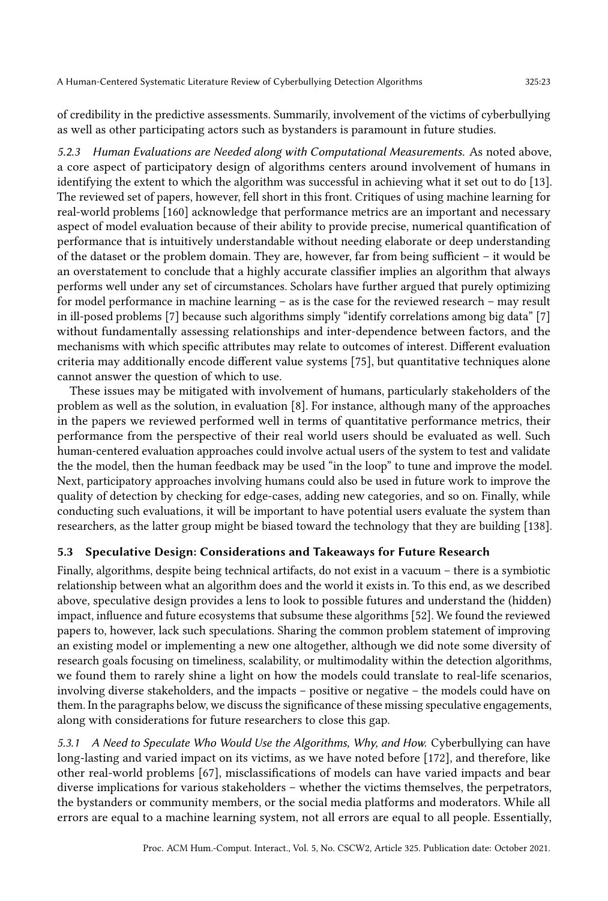of credibility in the predictive assessments. Summarily, involvement of the victims of cyberbullying as well as other participating actors such as bystanders is paramount in future studies.

5.2.3 Human Evaluations are Needed along with Computational Measurements. As noted above, a core aspect of participatory design of algorithms centers around involvement of humans in identifying the extent to which the algorithm was successful in achieving what it set out to do [\[13\]](#page-26-4). The reviewed set of papers, however, fell short in this front. Critiques of using machine learning for real-world problems [\[160\]](#page-32-19) acknowledge that performance metrics are an important and necessary aspect of model evaluation because of their ability to provide precise, numerical quantification of performance that is intuitively understandable without needing elaborate or deep understanding of the dataset or the problem domain. They are, however, far from being sufficient – it would be an overstatement to conclude that a highly accurate classifier implies an algorithm that always performs well under any set of circumstances. Scholars have further argued that purely optimizing for model performance in machine learning – as is the case for the reviewed research – may result in ill-posed problems [\[7\]](#page-25-7) because such algorithms simply "identify correlations among big data" [\[7\]](#page-25-7) without fundamentally assessing relationships and inter-dependence between factors, and the mechanisms with which specific attributes may relate to outcomes of interest. Different evaluation criteria may additionally encode different value systems [\[75\]](#page-28-17), but quantitative techniques alone cannot answer the question of which to use.

These issues may be mitigated with involvement of humans, particularly stakeholders of the problem as well as the solution, in evaluation [\[8\]](#page-25-2). For instance, although many of the approaches in the papers we reviewed performed well in terms of quantitative performance metrics, their performance from the perspective of their real world users should be evaluated as well. Such human-centered evaluation approaches could involve actual users of the system to test and validate the the model, then the human feedback may be used "in the loop" to tune and improve the model. Next, participatory approaches involving humans could also be used in future work to improve the quality of detection by checking for edge-cases, adding new categories, and so on. Finally, while conducting such evaluations, it will be important to have potential users evaluate the system than researchers, as the latter group might be biased toward the technology that they are building [\[138\]](#page-31-19).

# 5.3 Speculative Design: Considerations and Takeaways for Future Research

Finally, algorithms, despite being technical artifacts, do not exist in a vacuum – there is a symbiotic relationship between what an algorithm does and the world it exists in. To this end, as we described above, speculative design provides a lens to look to possible futures and understand the (hidden) impact, influence and future ecosystems that subsume these algorithms [\[52\]](#page-27-15). We found the reviewed papers to, however, lack such speculations. Sharing the common problem statement of improving an existing model or implementing a new one altogether, although we did note some diversity of research goals focusing on timeliness, scalability, or multimodality within the detection algorithms, we found them to rarely shine a light on how the models could translate to real-life scenarios, involving diverse stakeholders, and the impacts – positive or negative – the models could have on them. In the paragraphs below, we discuss the significance of these missing speculative engagements, along with considerations for future researchers to close this gap.

5.3.1 A Need to Speculate Who Would Use the Algorithms, Why, and How. Cyberbullying can have long-lasting and varied impact on its victims, as we have noted before [\[172\]](#page-33-1), and therefore, like other real-world problems [\[67\]](#page-28-19), misclassifications of models can have varied impacts and bear diverse implications for various stakeholders – whether the victims themselves, the perpetrators, the bystanders or community members, or the social media platforms and moderators. While all errors are equal to a machine learning system, not all errors are equal to all people. Essentially,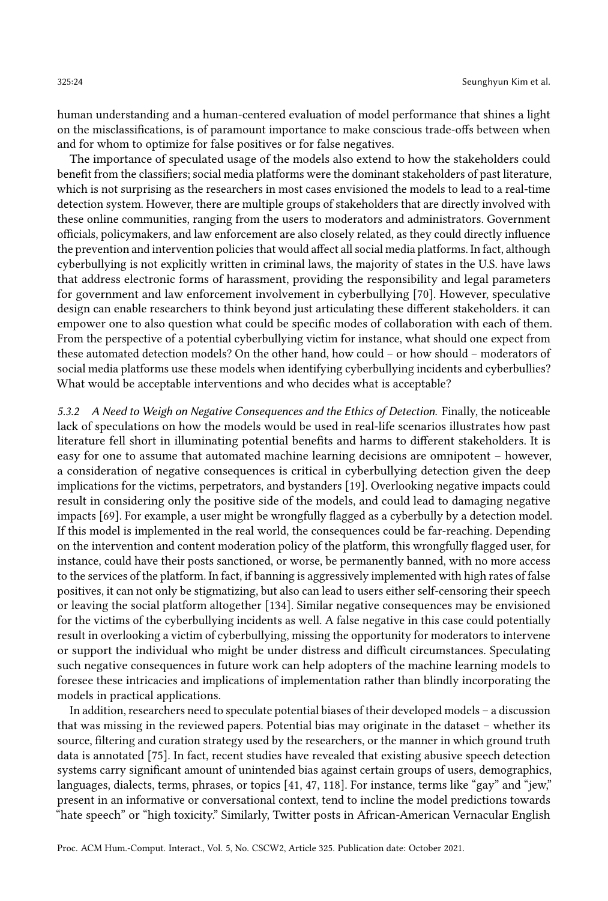human understanding and a human-centered evaluation of model performance that shines a light on the misclassifications, is of paramount importance to make conscious trade-offs between when and for whom to optimize for false positives or for false negatives.

The importance of speculated usage of the models also extend to how the stakeholders could benefit from the classifiers; social media platforms were the dominant stakeholders of past literature, which is not surprising as the researchers in most cases envisioned the models to lead to a real-time detection system. However, there are multiple groups of stakeholders that are directly involved with these online communities, ranging from the users to moderators and administrators. Government officials, policymakers, and law enforcement are also closely related, as they could directly influence the prevention and intervention policies that would affect all social media platforms. In fact, although cyberbullying is not explicitly written in criminal laws, the majority of states in the U.S. have laws that address electronic forms of harassment, providing the responsibility and legal parameters for government and law enforcement involvement in cyberbullying [\[70\]](#page-28-20). However, speculative design can enable researchers to think beyond just articulating these different stakeholders. it can empower one to also question what could be specific modes of collaboration with each of them. From the perspective of a potential cyberbullying victim for instance, what should one expect from these automated detection models? On the other hand, how could – or how should – moderators of social media platforms use these models when identifying cyberbullying incidents and cyberbullies? What would be acceptable interventions and who decides what is acceptable?

5.3.2 A Need to Weigh on Negative Consequences and the Ethics of Detection. Finally, the noticeable lack of speculations on how the models would be used in real-life scenarios illustrates how past literature fell short in illuminating potential benefits and harms to different stakeholders. It is easy for one to assume that automated machine learning decisions are omnipotent – however, a consideration of negative consequences is critical in cyberbullying detection given the deep implications for the victims, perpetrators, and bystanders [\[19\]](#page-26-19). Overlooking negative impacts could result in considering only the positive side of the models, and could lead to damaging negative impacts [\[69\]](#page-28-21). For example, a user might be wrongfully flagged as a cyberbully by a detection model. If this model is implemented in the real world, the consequences could be far-reaching. Depending on the intervention and content moderation policy of the platform, this wrongfully flagged user, for instance, could have their posts sanctioned, or worse, be permanently banned, with no more access to the services of the platform. In fact, if banning is aggressively implemented with high rates of false positives, it can not only be stigmatizing, but also can lead to users either self-censoring their speech or leaving the social platform altogether [\[134\]](#page-31-20). Similar negative consequences may be envisioned for the victims of the cyberbullying incidents as well. A false negative in this case could potentially result in overlooking a victim of cyberbullying, missing the opportunity for moderators to intervene or support the individual who might be under distress and difficult circumstances. Speculating such negative consequences in future work can help adopters of the machine learning models to foresee these intricacies and implications of implementation rather than blindly incorporating the models in practical applications.

In addition, researchers need to speculate potential biases of their developed models – a discussion that was missing in the reviewed papers. Potential bias may originate in the dataset – whether its source, filtering and curation strategy used by the researchers, or the manner in which ground truth data is annotated [\[75\]](#page-28-17). In fact, recent studies have revealed that existing abusive speech detection systems carry significant amount of unintended bias against certain groups of users, demographics, languages, dialects, terms, phrases, or topics [\[41,](#page-27-19) [47,](#page-27-20) [118\]](#page-30-22). For instance, terms like "gay" and "jew," present in an informative or conversational context, tend to incline the model predictions towards "hate speech" or "high toxicity." Similarly, Twitter posts in African-American Vernacular English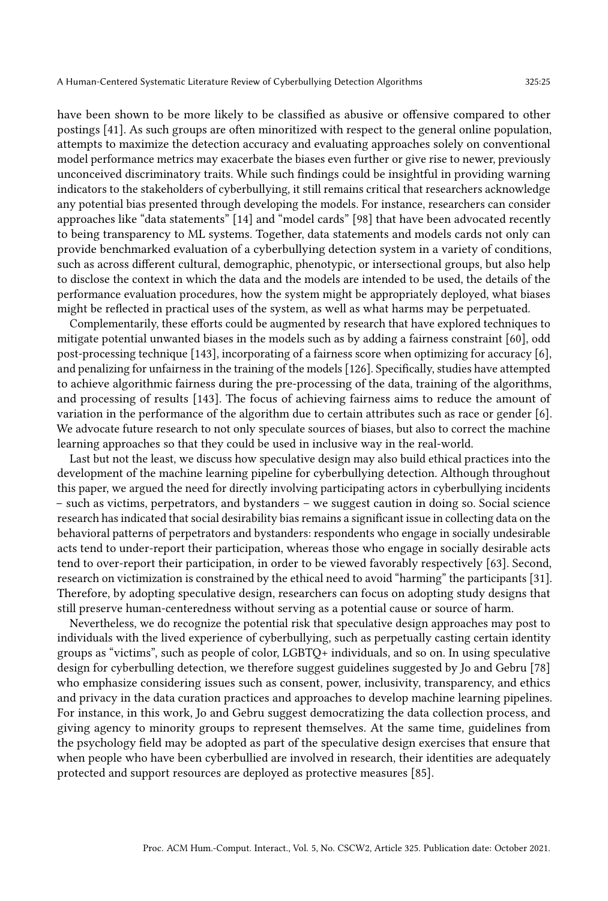have been shown to be more likely to be classified as abusive or offensive compared to other postings [\[41\]](#page-27-19). As such groups are often minoritized with respect to the general online population, attempts to maximize the detection accuracy and evaluating approaches solely on conventional model performance metrics may exacerbate the biases even further or give rise to newer, previously unconceived discriminatory traits. While such findings could be insightful in providing warning indicators to the stakeholders of cyberbullying, it still remains critical that researchers acknowledge any potential bias presented through developing the models. For instance, researchers can consider approaches like "data statements" [\[14\]](#page-26-20) and "model cards" [\[98\]](#page-29-21) that have been advocated recently to being transparency to ML systems. Together, data statements and models cards not only can provide benchmarked evaluation of a cyberbullying detection system in a variety of conditions, such as across different cultural, demographic, phenotypic, or intersectional groups, but also help to disclose the context in which the data and the models are intended to be used, the details of the performance evaluation procedures, how the system might be appropriately deployed, what biases might be reflected in practical uses of the system, as well as what harms may be perpetuated.

Complementarily, these efforts could be augmented by research that have explored techniques to mitigate potential unwanted biases in the models such as by adding a fairness constraint [\[60\]](#page-28-22), odd post-processing technique [\[143\]](#page-31-21), incorporating of a fairness score when optimizing for accuracy [\[6\]](#page-25-11), and penalizing for unfairness in the training of the models [\[126\]](#page-30-23). Specifically, studies have attempted to achieve algorithmic fairness during the pre-processing of the data, training of the algorithms, and processing of results [\[143\]](#page-31-21). The focus of achieving fairness aims to reduce the amount of variation in the performance of the algorithm due to certain attributes such as race or gender [\[6\]](#page-25-11). We advocate future research to not only speculate sources of biases, but also to correct the machine learning approaches so that they could be used in inclusive way in the real-world.

Last but not the least, we discuss how speculative design may also build ethical practices into the development of the machine learning pipeline for cyberbullying detection. Although throughout this paper, we argued the need for directly involving participating actors in cyberbullying incidents – such as victims, perpetrators, and bystanders – we suggest caution in doing so. Social science research has indicated that social desirability bias remains a significant issue in collecting data on the behavioral patterns of perpetrators and bystanders: respondents who engage in socially undesirable acts tend to under-report their participation, whereas those who engage in socially desirable acts tend to over-report their participation, in order to be viewed favorably respectively [\[63\]](#page-28-23). Second, research on victimization is constrained by the ethical need to avoid "harming" the participants [\[31\]](#page-26-21). Therefore, by adopting speculative design, researchers can focus on adopting study designs that still preserve human-centeredness without serving as a potential cause or source of harm.

Nevertheless, we do recognize the potential risk that speculative design approaches may post to individuals with the lived experience of cyberbullying, such as perpetually casting certain identity groups as "victims", such as people of color, LGBTQ+ individuals, and so on. In using speculative design for cyberbulling detection, we therefore suggest guidelines suggested by Jo and Gebru [\[78\]](#page-28-24) who emphasize considering issues such as consent, power, inclusivity, transparency, and ethics and privacy in the data curation practices and approaches to develop machine learning pipelines. For instance, in this work, [Jo and Gebru](#page-28-24) suggest democratizing the data collection process, and giving agency to minority groups to represent themselves. At the same time, guidelines from the psychology field may be adopted as part of the speculative design exercises that ensure that when people who have been cyberbullied are involved in research, their identities are adequately protected and support resources are deployed as protective measures [\[85\]](#page-29-22).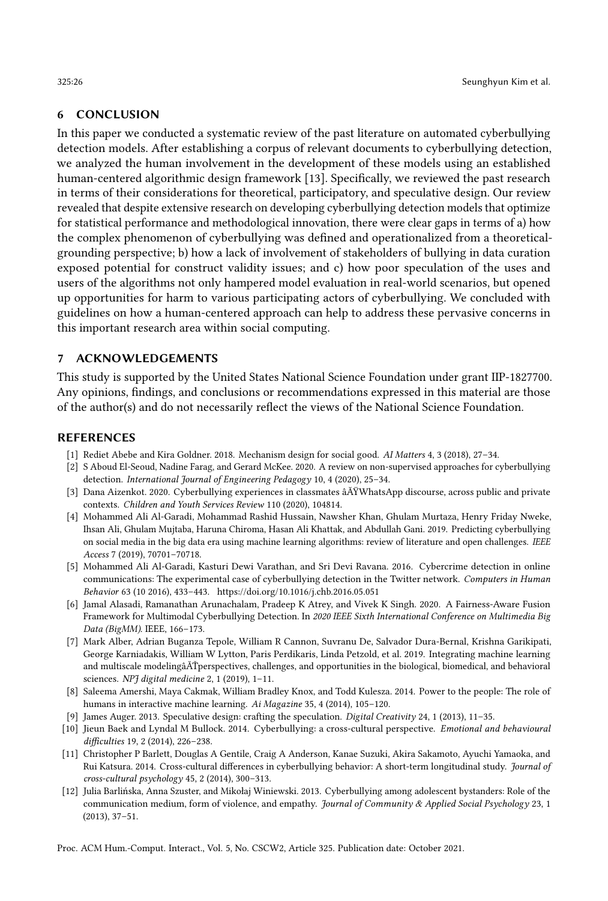### 6 CONCLUSION

In this paper we conducted a systematic review of the past literature on automated cyberbullying detection models. After establishing a corpus of relevant documents to cyberbullying detection, we analyzed the human involvement in the development of these models using an established human-centered algorithmic design framework [\[13\]](#page-26-4). Specifically, we reviewed the past research in terms of their considerations for theoretical, participatory, and speculative design. Our review revealed that despite extensive research on developing cyberbullying detection models that optimize for statistical performance and methodological innovation, there were clear gaps in terms of a) how the complex phenomenon of cyberbullying was defined and operationalized from a theoreticalgrounding perspective; b) how a lack of involvement of stakeholders of bullying in data curation exposed potential for construct validity issues; and c) how poor speculation of the uses and users of the algorithms not only hampered model evaluation in real-world scenarios, but opened up opportunities for harm to various participating actors of cyberbullying. We concluded with guidelines on how a human-centered approach can help to address these pervasive concerns in this important research area within social computing.

# 7 ACKNOWLEDGEMENTS

This study is supported by the United States National Science Foundation under grant IIP-1827700. Any opinions, findings, and conclusions or recommendations expressed in this material are those of the author(s) and do not necessarily reflect the views of the National Science Foundation.

#### REFERENCES

- <span id="page-25-1"></span>[1] Rediet Abebe and Kira Goldner. 2018. Mechanism design for social good. AI Matters 4, 3 (2018), 27–34.
- <span id="page-25-4"></span>[2] S Aboud El-Seoud, Nadine Farag, and Gerard McKee. 2020. A review on non-supervised approaches for cyberbullying detection. International Journal of Engineering Pedagogy 10, 4 (2020), 25–34.
- <span id="page-25-10"></span>[3] Dana Aizenkot. 2020. Cyberbullying experiences in classmates âĂŸWhatsApp discourse, across public and private contexts. Children and Youth Services Review 110 (2020), 104814.
- <span id="page-25-3"></span>[4] Mohammed Ali Al-Garadi, Mohammad Rashid Hussain, Nawsher Khan, Ghulam Murtaza, Henry Friday Nweke, Ihsan Ali, Ghulam Mujtaba, Haruna Chiroma, Hasan Ali Khattak, and Abdullah Gani. 2019. Predicting cyberbullying on social media in the big data era using machine learning algorithms: review of literature and open challenges. IEEE Access 7 (2019), 70701–70718.
- <span id="page-25-6"></span>[5] Mohammed Ali Al-Garadi, Kasturi Dewi Varathan, and Sri Devi Ravana. 2016. Cybercrime detection in online communications: The experimental case of cyberbullying detection in the Twitter network. Computers in Human Behavior 63 (10 2016), 433–443.<https://doi.org/10.1016/j.chb.2016.05.051>
- <span id="page-25-11"></span>[6] Jamal Alasadi, Ramanathan Arunachalam, Pradeep K Atrey, and Vivek K Singh. 2020. A Fairness-Aware Fusion Framework for Multimodal Cyberbullying Detection. In 2020 IEEE Sixth International Conference on Multimedia Big Data (BigMM). IEEE, 166–173.
- <span id="page-25-7"></span>[7] Mark Alber, Adrian Buganza Tepole, William R Cannon, Suvranu De, Salvador Dura-Bernal, Krishna Garikipati, George Karniadakis, William W Lytton, Paris Perdikaris, Linda Petzold, et al. 2019. Integrating machine learning and multiscale modelingâĂŤperspectives, challenges, and opportunities in the biological, biomedical, and behavioral sciences. NPJ digital medicine 2, 1 (2019), 1-11.
- <span id="page-25-2"></span>[8] Saleema Amershi, Maya Cakmak, William Bradley Knox, and Todd Kulesza. 2014. Power to the people: The role of humans in interactive machine learning. Ai Magazine 35, 4 (2014), 105-120.
- <span id="page-25-5"></span>[9] James Auger. 2013. Speculative design: crafting the speculation. Digital Creativity 24, 1 (2013), 11–35.
- <span id="page-25-9"></span>[10] Jieun Baek and Lyndal M Bullock. 2014. Cyberbullying: a cross-cultural perspective. Emotional and behavioural difficulties 19, 2 (2014), 226–238.
- <span id="page-25-8"></span>[11] Christopher P Barlett, Douglas A Gentile, Craig A Anderson, Kanae Suzuki, Akira Sakamoto, Ayuchi Yamaoka, and Rui Katsura. 2014. Cross-cultural differences in cyberbullying behavior: A short-term longitudinal study. Journal of cross-cultural psychology 45, 2 (2014), 300–313.
- <span id="page-25-0"></span>[12] Julia Barlińska, Anna Szuster, and Mikołaj Winiewski. 2013. Cyberbullying among adolescent bystanders: Role of the communication medium, form of violence, and empathy. Journal of Community & Applied Social Psychology 23, 1 (2013), 37–51.

Proc. ACM Hum.-Comput. Interact., Vol. 5, No. CSCW2, Article 325. Publication date: October 2021.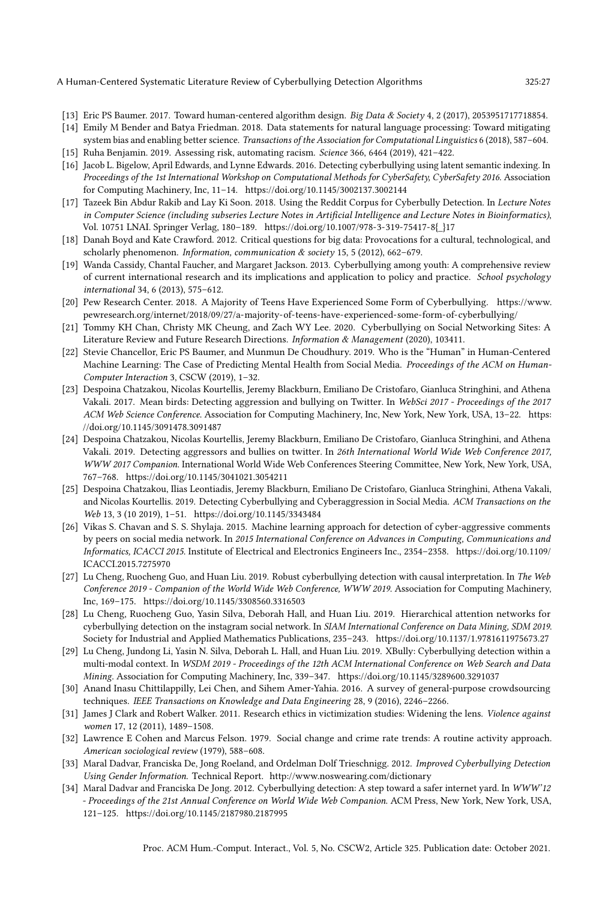- <span id="page-26-4"></span>[13] Eric PS Baumer. 2017. Toward human-centered algorithm design. Big Data & Society 4, 2 (2017), 2053951717718854.
- <span id="page-26-20"></span>[14] Emily M Bender and Batya Friedman. 2018. Data statements for natural language processing: Toward mitigating system bias and enabling better science. Transactions of the Association for Computational Linguistics 6 (2018), 587-604.
- <span id="page-26-3"></span>[15] Ruha Benjamin. 2019. Assessing risk, automating racism. Science 366, 6464 (2019), 421–422.
- <span id="page-26-14"></span>[16] Jacob L. Bigelow, April Edwards, and Lynne Edwards. 2016. Detecting cyberbullying using latent semantic indexing. In Proceedings of the 1st International Workshop on Computational Methods for CyberSafety, CyberSafety 2016. Association for Computing Machinery, Inc, 11–14.<https://doi.org/10.1145/3002137.3002144>
- <span id="page-26-8"></span>[17] Tazeek Bin Abdur Rakib and Lay Ki Soon. 2018. Using the Reddit Corpus for Cyberbully Detection. In Lecture Notes in Computer Science (including subseries Lecture Notes in Artificial Intelligence and Lecture Notes in Bioinformatics), Vol. 10751 LNAI. Springer Verlag, 180–189. [https://doi.org/10.1007/978-3-319-75417-8{\\_}17](https://doi.org/10.1007/978-3-319-75417-8{_}17)
- <span id="page-26-18"></span>[18] Danah Boyd and Kate Crawford. 2012. Critical questions for big data: Provocations for a cultural, technological, and scholarly phenomenon. Information, communication & society 15, 5 (2012), 662-679.
- <span id="page-26-19"></span>[19] Wanda Cassidy, Chantal Faucher, and Margaret Jackson. 2013. Cyberbullying among youth: A comprehensive review of current international research and its implications and application to policy and practice. School psychology international 34, 6 (2013), 575–612.
- <span id="page-26-0"></span>[20] Pew Research Center. 2018. A Majority of Teens Have Experienced Some Form of Cyberbullying. [https://www.](https://www.pewresearch.org/internet/2018/09/27/a-majority-of-teens-have-experienced-some-form-of-cyberbullying/) [pewresearch.org/internet/2018/09/27/a-majority-of-teens-have-experienced-some-form-of-cyberbullying/](https://www.pewresearch.org/internet/2018/09/27/a-majority-of-teens-have-experienced-some-form-of-cyberbullying/)
- <span id="page-26-6"></span>[21] Tommy KH Chan, Christy MK Cheung, and Zach WY Lee. 2020. Cyberbullying on Social Networking Sites: A Literature Review and Future Research Directions. Information & Management (2020), 103411.
- <span id="page-26-2"></span>[22] Stevie Chancellor, Eric PS Baumer, and Munmun De Choudhury. 2019. Who is the "Human" in Human-Centered Machine Learning: The Case of Predicting Mental Health from Social Media. Proceedings of the ACM on Human-Computer Interaction 3, CSCW (2019), 1–32.
- <span id="page-26-9"></span>[23] Despoina Chatzakou, Nicolas Kourtellis, Jeremy Blackburn, Emiliano De Cristofaro, Gianluca Stringhini, and Athena Vakali. 2017. Mean birds: Detecting aggression and bullying on Twitter. In WebSci 2017 - Proceedings of the 2017 ACM Web Science Conference. Association for Computing Machinery, Inc, New York, New York, USA, 13–22. [https:](https://doi.org/10.1145/3091478.3091487) [//doi.org/10.1145/3091478.3091487](https://doi.org/10.1145/3091478.3091487)
- <span id="page-26-16"></span>[24] Despoina Chatzakou, Nicolas Kourtellis, Jeremy Blackburn, Emiliano De Cristofaro, Gianluca Stringhini, and Athena Vakali. 2019. Detecting aggressors and bullies on twitter. In 26th International World Wide Web Conference 2017, WWW 2017 Companion. International World Wide Web Conferences Steering Committee, New York, New York, USA, 767–768.<https://doi.org/10.1145/3041021.3054211>
- <span id="page-26-13"></span>[25] Despoina Chatzakou, Ilias Leontiadis, Jeremy Blackburn, Emiliano De Cristofaro, Gianluca Stringhini, Athena Vakali, and Nicolas Kourtellis. 2019. Detecting Cyberbullying and Cyberaggression in Social Media. ACM Transactions on the Web 13, 3 (10 2019), 1–51.<https://doi.org/10.1145/3343484>
- <span id="page-26-10"></span>[26] Vikas S. Chavan and S. S. Shylaja. 2015. Machine learning approach for detection of cyber-aggressive comments by peers on social media network. In 2015 International Conference on Advances in Computing, Communications and Informatics, ICACCI 2015. Institute of Electrical and Electronics Engineers Inc., 2354–2358. [https://doi.org/10.1109/](https://doi.org/10.1109/ICACCI.2015.7275970) [ICACCI.2015.7275970](https://doi.org/10.1109/ICACCI.2015.7275970)
- <span id="page-26-15"></span>[27] Lu Cheng, Ruocheng Guo, and Huan Liu. 2019. Robust cyberbullying detection with causal interpretation. In The Web Conference 2019 - Companion of the World Wide Web Conference, WWW 2019. Association for Computing Machinery, Inc, 169–175.<https://doi.org/10.1145/3308560.3316503>
- <span id="page-26-11"></span>[28] Lu Cheng, Ruocheng Guo, Yasin Silva, Deborah Hall, and Huan Liu. 2019. Hierarchical attention networks for cyberbullying detection on the instagram social network. In SIAM International Conference on Data Mining, SDM 2019. Society for Industrial and Applied Mathematics Publications, 235–243.<https://doi.org/10.1137/1.9781611975673.27>
- <span id="page-26-5"></span>[29] Lu Cheng, Jundong Li, Yasin N. Silva, Deborah L. Hall, and Huan Liu. 2019. XBully: Cyberbullying detection within a multi-modal context. In WSDM 2019 - Proceedings of the 12th ACM International Conference on Web Search and Data Mining. Association for Computing Machinery, Inc, 339–347.<https://doi.org/10.1145/3289600.3291037>
- <span id="page-26-17"></span>[30] Anand Inasu Chittilappilly, Lei Chen, and Sihem Amer-Yahia. 2016. A survey of general-purpose crowdsourcing techniques. IEEE Transactions on Knowledge and Data Engineering 28, 9 (2016), 2246–2266.
- <span id="page-26-21"></span>[31] James J Clark and Robert Walker. 2011. Research ethics in victimization studies: Widening the lens. Violence against women 17, 12 (2011), 1489–1508.
- <span id="page-26-7"></span>[32] Lawrence E Cohen and Marcus Felson. 1979. Social change and crime rate trends: A routine activity approach. American sociological review (1979), 588–608.
- <span id="page-26-12"></span>[33] Maral Dadvar, Franciska De, Jong Roeland, and Ordelman Dolf Trieschnigg. 2012. Improved Cyberbullying Detection Using Gender Information. Technical Report.<http://www.noswearing.com/dictionary>
- <span id="page-26-1"></span>[34] Maral Dadvar and Franciska De Jong. 2012. Cyberbullying detection: A step toward a safer internet yard. In WWW'12 - Proceedings of the 21st Annual Conference on World Wide Web Companion. ACM Press, New York, New York, USA, 121–125.<https://doi.org/10.1145/2187980.2187995>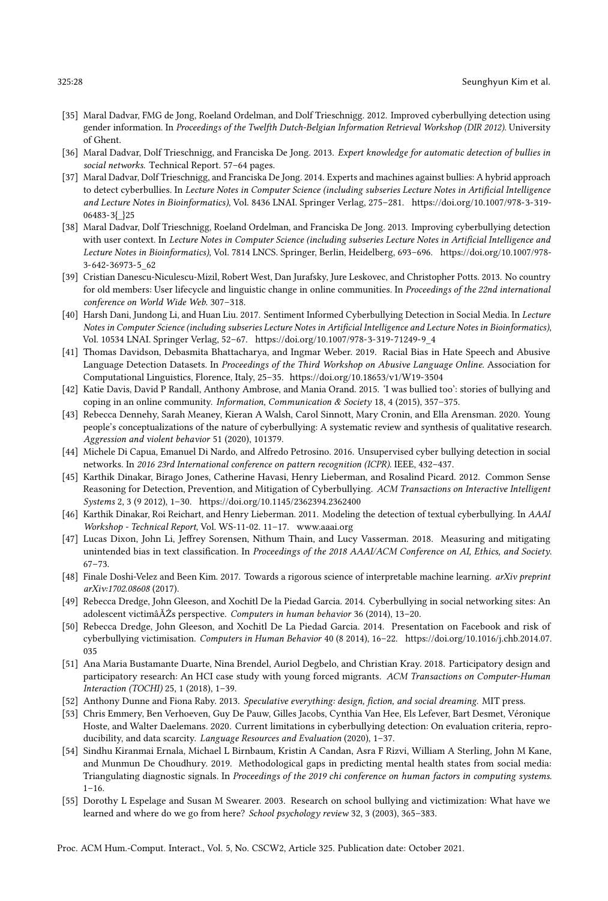- <span id="page-27-13"></span>[35] Maral Dadvar, FMG de Jong, Roeland Ordelman, and Dolf Trieschnigg. 2012. Improved cyberbullying detection using gender information. In Proceedings of the Twelfth Dutch-Belgian Information Retrieval Workshop (DIR 2012). University of Ghent.
- <span id="page-27-11"></span>[36] Maral Dadvar, Dolf Trieschnigg, and Franciska De Jong. 2013. Expert knowledge for automatic detection of bullies in social networks. Technical Report. 57–64 pages.
- <span id="page-27-7"></span>[37] Maral Dadvar, Dolf Trieschnigg, and Franciska De Jong. 2014. Experts and machines against bullies: A hybrid approach to detect cyberbullies. In Lecture Notes in Computer Science (including subseries Lecture Notes in Artificial Intelligence and Lecture Notes in Bioinformatics), Vol. 8436 LNAI. Springer Verlag, 275–281. [https://doi.org/10.1007/978-3-319-](https://doi.org/10.1007/978-3-319-06483-3{_}25) [06483-3{\\_}25](https://doi.org/10.1007/978-3-319-06483-3{_}25)
- <span id="page-27-3"></span>[38] Maral Dadvar, Dolf Trieschnigg, Roeland Ordelman, and Franciska De Jong. 2013. Improving cyberbullying detection with user context. In Lecture Notes in Computer Science (including subseries Lecture Notes in Artificial Intelligence and Lecture Notes in Bioinformatics), Vol. 7814 LNCS. Springer, Berlin, Heidelberg, 693–696. [https://doi.org/10.1007/978-](https://doi.org/10.1007/978-3-642-36973-5_62) [3-642-36973-5\\_62](https://doi.org/10.1007/978-3-642-36973-5_62)
- <span id="page-27-17"></span>[39] Cristian Danescu-Niculescu-Mizil, Robert West, Dan Jurafsky, Jure Leskovec, and Christopher Potts. 2013. No country for old members: User lifecycle and linguistic change in online communities. In Proceedings of the 22nd international conference on World Wide Web. 307–318.
- <span id="page-27-12"></span>[40] Harsh Dani, Jundong Li, and Huan Liu. 2017. Sentiment Informed Cyberbullying Detection in Social Media. In Lecture Notes in Computer Science (including subseries Lecture Notes in Artificial Intelligence and Lecture Notes in Bioinformatics), Vol. 10534 LNAI. Springer Verlag, 52–67. [https://doi.org/10.1007/978-3-319-71249-9\\_4](https://doi.org/10.1007/978-3-319-71249-9_4)
- <span id="page-27-19"></span>[41] Thomas Davidson, Debasmita Bhattacharya, and Ingmar Weber. 2019. Racial Bias in Hate Speech and Abusive Language Detection Datasets. In Proceedings of the Third Workshop on Abusive Language Online. Association for Computational Linguistics, Florence, Italy, 25–35.<https://doi.org/10.18653/v1/W19-3504>
- <span id="page-27-0"></span>[42] Katie Davis, David P Randall, Anthony Ambrose, and Mania Orand. 2015. 'I was bullied too': stories of bullying and coping in an online community. Information, Communication & Society 18, 4 (2015), 357–375.
- <span id="page-27-16"></span>[43] Rebecca Dennehy, Sarah Meaney, Kieran A Walsh, Carol Sinnott, Mary Cronin, and Ella Arensman. 2020. Young people's conceptualizations of the nature of cyberbullying: A systematic review and synthesis of qualitative research. Aggression and violent behavior 51 (2020), 101379.
- <span id="page-27-4"></span>[44] Michele Di Capua, Emanuel Di Nardo, and Alfredo Petrosino. 2016. Unsupervised cyber bullying detection in social networks. In 2016 23rd International conference on pattern recognition (ICPR). IEEE, 432–437.
- <span id="page-27-8"></span>[45] Karthik Dinakar, Birago Jones, Catherine Havasi, Henry Lieberman, and Rosalind Picard. 2012. Common Sense Reasoning for Detection, Prevention, and Mitigation of Cyberbullying. ACM Transactions on Interactive Intelligent Systems 2, 3 (9 2012), 1–30.<https://doi.org/10.1145/2362394.2362400>
- <span id="page-27-9"></span>[46] Karthik Dinakar, Roi Reichart, and Henry Lieberman. 2011. Modeling the detection of textual cyberbullying. In AAAI Workshop - Technical Report, Vol. WS-11-02. 11–17.<www.aaai.org>
- <span id="page-27-20"></span>[47] Lucas Dixon, John Li, Jeffrey Sorensen, Nithum Thain, and Lucy Vasserman. 2018. Measuring and mitigating unintended bias in text classification. In Proceedings of the 2018 AAAI/ACM Conference on AI, Ethics, and Society. 67–73.
- <span id="page-27-1"></span>[48] Finale Doshi-Velez and Been Kim. 2017. Towards a rigorous science of interpretable machine learning. arXiv preprint arXiv:1702.08608 (2017).
- <span id="page-27-14"></span>[49] Rebecca Dredge, John Gleeson, and Xochitl De la Piedad Garcia. 2014. Cyberbullying in social networking sites: An adolescent victimâĂŹs perspective. Computers in human behavior 36 (2014), 13–20.
- <span id="page-27-5"></span>[50] Rebecca Dredge, John Gleeson, and Xochitl De La Piedad Garcia. 2014. Presentation on Facebook and risk of cyberbullying victimisation. Computers in Human Behavior 40 (8 2014), 16–22. [https://doi.org/10.1016/j.chb.2014.07.](https://doi.org/10.1016/j.chb.2014.07.035) [035](https://doi.org/10.1016/j.chb.2014.07.035)
- <span id="page-27-6"></span>[51] Ana Maria Bustamante Duarte, Nina Brendel, Auriol Degbelo, and Christian Kray. 2018. Participatory design and participatory research: An HCI case study with young forced migrants. ACM Transactions on Computer-Human Interaction (TOCHI) 25, 1 (2018), 1–39.
- <span id="page-27-15"></span>[52] Anthony Dunne and Fiona Raby. 2013. Speculative everything: design, fiction, and social dreaming. MIT press.
- <span id="page-27-2"></span>[53] Chris Emmery, Ben Verhoeven, Guy De Pauw, Gilles Jacobs, Cynthia Van Hee, Els Lefever, Bart Desmet, Véronique Hoste, and Walter Daelemans. 2020. Current limitations in cyberbullying detection: On evaluation criteria, reproducibility, and data scarcity. Language Resources and Evaluation (2020), 1–37.
- <span id="page-27-18"></span>[54] Sindhu Kiranmai Ernala, Michael L Birnbaum, Kristin A Candan, Asra F Rizvi, William A Sterling, John M Kane, and Munmun De Choudhury. 2019. Methodological gaps in predicting mental health states from social media: Triangulating diagnostic signals. In Proceedings of the 2019 chi conference on human factors in computing systems.  $1 - 16$ .
- <span id="page-27-10"></span>[55] Dorothy L Espelage and Susan M Swearer. 2003. Research on school bullying and victimization: What have we learned and where do we go from here? School psychology review 32, 3 (2003), 365–383.

Proc. ACM Hum.-Comput. Interact., Vol. 5, No. CSCW2, Article 325. Publication date: October 2021.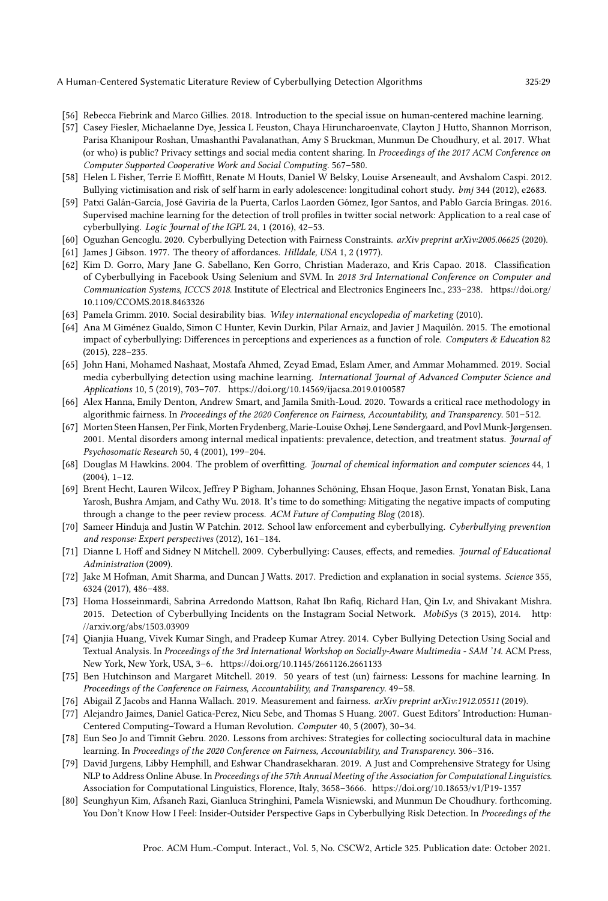- <span id="page-28-5"></span>[56] Rebecca Fiebrink and Marco Gillies. 2018. Introduction to the special issue on human-centered machine learning.
- <span id="page-28-4"></span>[57] Casey Fiesler, Michaelanne Dye, Jessica L Feuston, Chaya Hiruncharoenvate, Clayton J Hutto, Shannon Morrison, Parisa Khanipour Roshan, Umashanthi Pavalanathan, Amy S Bruckman, Munmun De Choudhury, et al. 2017. What (or who) is public? Privacy settings and social media content sharing. In Proceedings of the 2017 ACM Conference on Computer Supported Cooperative Work and Social Computing. 567–580.
- <span id="page-28-0"></span>[58] Helen L Fisher, Terrie E Moffitt, Renate M Houts, Daniel W Belsky, Louise Arseneault, and Avshalom Caspi. 2012. Bullying victimisation and risk of self harm in early adolescence: longitudinal cohort study. bmj 344 (2012), e2683.
- <span id="page-28-8"></span>[59] Patxi Galán-García, José Gaviria de la Puerta, Carlos Laorden Gómez, Igor Santos, and Pablo García Bringas. 2016. Supervised machine learning for the detection of troll profiles in twitter social network: Application to a real case of cyberbullying. Logic Journal of the IGPL 24, 1 (2016), 42–53.
- <span id="page-28-22"></span>[60] Oguzhan Gencoglu. 2020. Cyberbullying Detection with Fairness Constraints. arXiv preprint arXiv:2005.06625 (2020).
- <span id="page-28-14"></span>[61] James J Gibson. 1977. The theory of affordances. Hilldale, USA 1, 2 (1977).
- <span id="page-28-9"></span>[62] Kim D. Gorro, Mary Jane G. Sabellano, Ken Gorro, Christian Maderazo, and Kris Capao. 2018. Classification of Cyberbullying in Facebook Using Selenium and SVM. In 2018 3rd International Conference on Computer and Communication Systems, ICCCS 2018. Institute of Electrical and Electronics Engineers Inc., 233–238. [https://doi.org/](https://doi.org/10.1109/CCOMS.2018.8463326) [10.1109/CCOMS.2018.8463326](https://doi.org/10.1109/CCOMS.2018.8463326)
- <span id="page-28-23"></span>[63] Pamela Grimm. 2010. Social desirability bias. Wiley international encyclopedia of marketing (2010).
- <span id="page-28-1"></span>[64] Ana M Giménez Gualdo, Simon C Hunter, Kevin Durkin, Pilar Arnaiz, and Javier J Maquilón. 2015. The emotional impact of cyberbullying: Differences in perceptions and experiences as a function of role. Computers & Education 82 (2015), 228–235.
- <span id="page-28-10"></span>[65] John Hani, Mohamed Nashaat, Mostafa Ahmed, Zeyad Emad, Eslam Amer, and Ammar Mohammed. 2019. Social media cyberbullying detection using machine learning. International Journal of Advanced Computer Science and Applications 10, 5 (2019), 703–707.<https://doi.org/10.14569/ijacsa.2019.0100587>
- <span id="page-28-3"></span>[66] Alex Hanna, Emily Denton, Andrew Smart, and Jamila Smith-Loud. 2020. Towards a critical race methodology in algorithmic fairness. In Proceedings of the 2020 Conference on Fairness, Accountability, and Transparency. 501–512.
- <span id="page-28-19"></span>[67] Morten Steen Hansen, Per Fink, Morten Frydenberg, Marie-Louise Oxhøj, Lene Søndergaard, and Povl Munk-Jørgensen. 2001. Mental disorders among internal medical inpatients: prevalence, detection, and treatment status. Journal of Psychosomatic Research 50, 4 (2001), 199–204.
- <span id="page-28-15"></span>[68] Douglas M Hawkins. 2004. The problem of overfitting. Journal of chemical information and computer sciences 44, 1 (2004), 1–12.
- <span id="page-28-21"></span>[69] Brent Hecht, Lauren Wilcox, Jeffrey P Bigham, Johannes Schöning, Ehsan Hoque, Jason Ernst, Yonatan Bisk, Lana Yarosh, Bushra Amjam, and Cathy Wu. 2018. It's time to do something: Mitigating the negative impacts of computing through a change to the peer review process. ACM Future of Computing Blog (2018).
- <span id="page-28-20"></span>[70] Sameer Hinduja and Justin W Patchin. 2012. School law enforcement and cyberbullying. Cyberbullying prevention and response: Expert perspectives (2012), 161–184.
- <span id="page-28-6"></span>[71] Dianne L Hoff and Sidney N Mitchell. 2009. Cyberbullying: Causes, effects, and remedies. Journal of Educational Administration (2009).
- <span id="page-28-13"></span>[72] Jake M Hofman, Amit Sharma, and Duncan J Watts. 2017. Prediction and explanation in social systems. Science 355, 6324 (2017), 486–488.
- <span id="page-28-11"></span>[73] Homa Hosseinmardi, Sabrina Arredondo Mattson, Rahat Ibn Rafiq, Richard Han, Qin Lv, and Shivakant Mishra. 2015. Detection of Cyberbullying Incidents on the Instagram Social Network. MobiSys (3 2015), 2014. [http:](http://arxiv.org/abs/1503.03909) [//arxiv.org/abs/1503.03909](http://arxiv.org/abs/1503.03909)
- <span id="page-28-12"></span>[74] Qianjia Huang, Vivek Kumar Singh, and Pradeep Kumar Atrey. 2014. Cyber Bullying Detection Using Social and Textual Analysis. In Proceedings of the 3rd International Workshop on Socially-Aware Multimedia - SAM '14. ACM Press, New York, New York, USA, 3–6.<https://doi.org/10.1145/2661126.2661133>
- <span id="page-28-17"></span>[75] Ben Hutchinson and Margaret Mitchell. 2019. 50 years of test (un) fairness: Lessons for machine learning. In Proceedings of the Conference on Fairness, Accountability, and Transparency. 49–58.
- <span id="page-28-7"></span>[76] Abigail Z Jacobs and Hanna Wallach. 2019. Measurement and fairness. arXiv preprint arXiv:1912.05511 (2019).
- <span id="page-28-2"></span>[77] Alejandro Jaimes, Daniel Gatica-Perez, Nicu Sebe, and Thomas S Huang. 2007. Guest Editors' Introduction: Human-Centered Computing-Toward a Human Revolution. Computer 40, 5 (2007), 30-34.
- <span id="page-28-24"></span>[78] Eun Seo Jo and Timnit Gebru. 2020. Lessons from archives: Strategies for collecting sociocultural data in machine learning. In Proceedings of the 2020 Conference on Fairness, Accountability, and Transparency. 306–316.
- <span id="page-28-18"></span>[79] David Jurgens, Libby Hemphill, and Eshwar Chandrasekharan. 2019. A Just and Comprehensive Strategy for Using NLP to Address Online Abuse. In Proceedings of the 57th Annual Meeting of the Association for Computational Linguistics. Association for Computational Linguistics, Florence, Italy, 3658–3666.<https://doi.org/10.18653/v1/P19-1357>
- <span id="page-28-16"></span>[80] Seunghyun Kim, Afsaneh Razi, Gianluca Stringhini, Pamela Wisniewski, and Munmun De Choudhury. forthcoming. You Don't Know How I Feel: Insider-Outsider Perspective Gaps in Cyberbullying Risk Detection. In Proceedings of the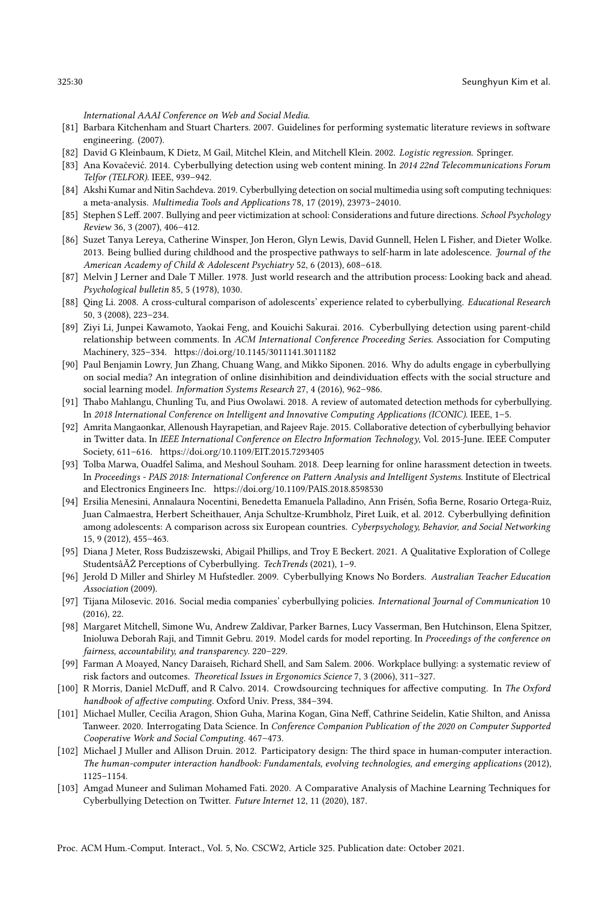International AAAI Conference on Web and Social Media.

- <span id="page-29-10"></span>[81] Barbara Kitchenham and Stuart Charters. 2007. Guidelines for performing systematic literature reviews in software engineering. (2007).
- <span id="page-29-14"></span>[82] David G Kleinbaum, K Dietz, M Gail, Mitchel Klein, and Mitchell Klein. 2002. Logistic regression. Springer.
- <span id="page-29-4"></span>[83] Ana Kovačević. 2014. Cyberbullying detection using web content mining. In 2014 22nd Telecommunications Forum Telfor (TELFOR). IEEE, 939–942.
- <span id="page-29-1"></span>[84] Akshi Kumar and Nitin Sachdeva. 2019. Cyberbullying detection on social multimedia using soft computing techniques: a meta-analysis. Multimedia Tools and Applications 78, 17 (2019), 23973–24010.
- <span id="page-29-22"></span>[85] Stephen S Leff. 2007. Bullying and peer victimization at school: Considerations and future directions. School Psychology Review 36, 3 (2007), 406–412.
- <span id="page-29-0"></span>[86] Suzet Tanya Lereya, Catherine Winsper, Jon Heron, Glyn Lewis, David Gunnell, Helen L Fisher, and Dieter Wolke. 2013. Being bullied during childhood and the prospective pathways to self-harm in late adolescence. Journal of the American Academy of Child & Adolescent Psychiatry 52, 6 (2013), 608–618.
- <span id="page-29-8"></span>[87] Melvin J Lerner and Dale T Miller. 1978. Just world research and the attribution process: Looking back and ahead. Psychological bulletin 85, 5 (1978), 1030.
- <span id="page-29-20"></span>[88] Qing Li. 2008. A cross-cultural comparison of adolescents' experience related to cyberbullying. Educational Research 50, 3 (2008), 223–234.
- <span id="page-29-11"></span>[89] Ziyi Li, Junpei Kawamoto, Yaokai Feng, and Kouichi Sakurai. 2016. Cyberbullying detection using parent-child relationship between comments. In ACM International Conference Proceeding Series. Association for Computing Machinery, 325–334.<https://doi.org/10.1145/3011141.3011182>
- <span id="page-29-5"></span>[90] Paul Benjamin Lowry, Jun Zhang, Chuang Wang, and Mikko Siponen. 2016. Why do adults engage in cyberbullying on social media? An integration of online disinhibition and deindividuation effects with the social structure and social learning model. Information Systems Research 27, 4 (2016), 962–986.
- <span id="page-29-3"></span>[91] Thabo Mahlangu, Chunling Tu, and Pius Owolawi. 2018. A review of automated detection methods for cyberbullying. In 2018 International Conference on Intelligent and Innovative Computing Applications (ICONIC). IEEE, 1–5.
- <span id="page-29-12"></span>[92] Amrita Mangaonkar, Allenoush Hayrapetian, and Rajeev Raje. 2015. Collaborative detection of cyberbullying behavior in Twitter data. In IEEE International Conference on Electro Information Technology, Vol. 2015-June. IEEE Computer Society, 611–616.<https://doi.org/10.1109/EIT.2015.7293405>
- <span id="page-29-13"></span>[93] Tolba Marwa, Ouadfel Salima, and Meshoul Souham. 2018. Deep learning for online harassment detection in tweets. In Proceedings - PAIS 2018: International Conference on Pattern Analysis and Intelligent Systems. Institute of Electrical and Electronics Engineers Inc.<https://doi.org/10.1109/PAIS.2018.8598530>
- <span id="page-29-18"></span>[94] Ersilia Menesini, Annalaura Nocentini, Benedetta Emanuela Palladino, Ann Frisén, Sofia Berne, Rosario Ortega-Ruiz, Juan Calmaestra, Herbert Scheithauer, Anja Schultze-Krumbholz, Piret Luik, et al. 2012. Cyberbullying definition among adolescents: A comparison across six European countries. Cyberpsychology, Behavior, and Social Networking 15, 9 (2012), 455–463.
- <span id="page-29-19"></span>[95] Diana J Meter, Ross Budziszewski, Abigail Phillips, and Troy E Beckert. 2021. A Qualitative Exploration of College StudentsâĂŹ Perceptions of Cyberbullying. TechTrends (2021), 1–9.
- <span id="page-29-16"></span>[96] Jerold D Miller and Shirley M Hufstedler. 2009. Cyberbullying Knows No Borders. Australian Teacher Education Association (2009).
- <span id="page-29-2"></span>[97] Tijana Milosevic. 2016. Social media companies' cyberbullying policies. International Journal of Communication 10 (2016), 22.
- <span id="page-29-21"></span>[98] Margaret Mitchell, Simone Wu, Andrew Zaldivar, Parker Barnes, Lucy Vasserman, Ben Hutchinson, Elena Spitzer, Inioluwa Deborah Raji, and Timnit Gebru. 2019. Model cards for model reporting. In Proceedings of the conference on fairness, accountability, and transparency. 220–229.
- <span id="page-29-17"></span>[99] Farman A Moayed, Nancy Daraiseh, Richard Shell, and Sam Salem. 2006. Workplace bullying: a systematic review of risk factors and outcomes. Theoretical Issues in Ergonomics Science 7, 3 (2006), 311–327.
- <span id="page-29-15"></span>[100] R Morris, Daniel McDuff, and R Calvo. 2014. Crowdsourcing techniques for affective computing. In The Oxford handbook of affective computing. Oxford Univ. Press, 384–394.
- <span id="page-29-7"></span>[101] Michael Muller, Cecilia Aragon, Shion Guha, Marina Kogan, Gina Neff, Cathrine Seidelin, Katie Shilton, and Anissa Tanweer. 2020. Interrogating Data Science. In Conference Companion Publication of the 2020 on Computer Supported Cooperative Work and Social Computing. 467–473.
- <span id="page-29-9"></span>[102] Michael J Muller and Allison Druin. 2012. Participatory design: The third space in human-computer interaction. The human-computer interaction handbook: Fundamentals, evolving technologies, and emerging applications (2012), 1125–1154.
- <span id="page-29-6"></span>[103] Amgad Muneer and Suliman Mohamed Fati. 2020. A Comparative Analysis of Machine Learning Techniques for Cyberbullying Detection on Twitter. Future Internet 12, 11 (2020), 187.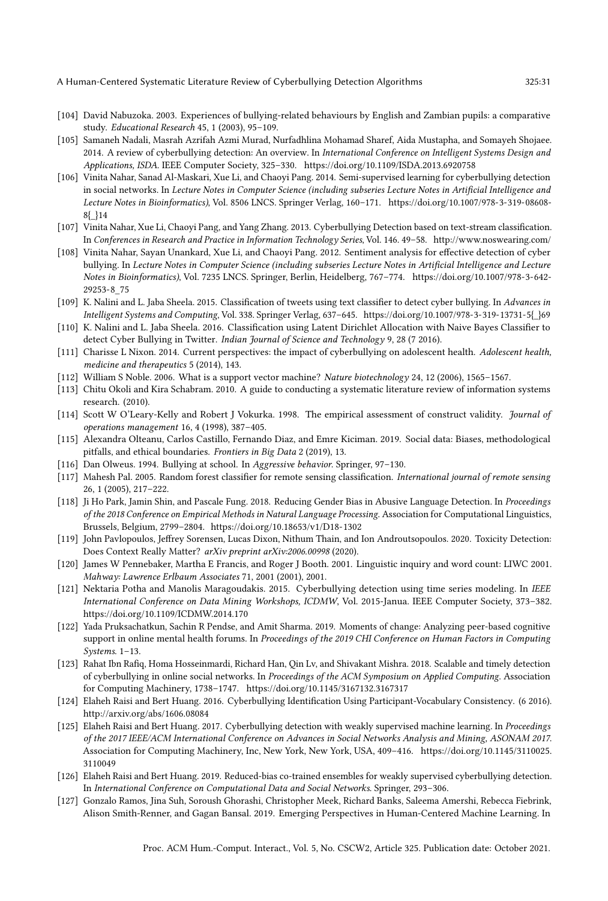- <span id="page-30-21"></span>[104] David Nabuzoka. 2003. Experiences of bullying-related behaviours by English and Zambian pupils: a comparative study. Educational Research 45, 1 (2003), 95–109.
- <span id="page-30-3"></span>[105] Samaneh Nadali, Masrah Azrifah Azmi Murad, Nurfadhlina Mohamad Sharef, Aida Mustapha, and Somayeh Shojaee. 2014. A review of cyberbullying detection: An overview. In International Conference on Intelligent Systems Design and Applications, ISDA. IEEE Computer Society, 325–330.<https://doi.org/10.1109/ISDA.2013.6920758>
- <span id="page-30-14"></span>[106] Vinita Nahar, Sanad Al-Maskari, Xue Li, and Chaoyi Pang. 2014. Semi-supervised learning for cyberbullying detection in social networks. In Lecture Notes in Computer Science (including subseries Lecture Notes in Artificial Intelligence and Lecture Notes in Bioinformatics), Vol. 8506 LNCS. Springer Verlag, 160–171. [https://doi.org/10.1007/978-3-319-08608-](https://doi.org/10.1007/978-3-319-08608-8{_}14) [8{\\_}14](https://doi.org/10.1007/978-3-319-08608-8{_}14)
- <span id="page-30-6"></span>[107] Vinita Nahar, Xue Li, Chaoyi Pang, and Yang Zhang. 2013. Cyberbullying Detection based on text-stream classification. In Conferences in Research and Practice in Information Technology Series, Vol. 146. 49–58.<http://www.noswearing.com/>
- <span id="page-30-15"></span>[108] Vinita Nahar, Sayan Unankard, Xue Li, and Chaoyi Pang. 2012. Sentiment analysis for effective detection of cyber bullying. In Lecture Notes in Computer Science (including subseries Lecture Notes in Artificial Intelligence and Lecture Notes in Bioinformatics), Vol. 7235 LNCS. Springer, Berlin, Heidelberg, 767–774. [https://doi.org/10.1007/978-3-642-](https://doi.org/10.1007/978-3-642-29253-8_75) [29253-8\\_75](https://doi.org/10.1007/978-3-642-29253-8_75)
- <span id="page-30-7"></span>[109] K. Nalini and L. Jaba Sheela. 2015. Classification of tweets using text classifier to detect cyber bullying. In Advances in Intelligent Systems and Computing, Vol. 338. Springer Verlag, 637–645. [https://doi.org/10.1007/978-3-319-13731-5{\\_}69](https://doi.org/10.1007/978-3-319-13731-5{_}69)
- <span id="page-30-8"></span>[110] K. Nalini and L. Jaba Sheela. 2016. Classification using Latent Dirichlet Allocation with Naive Bayes Classifier to detect Cyber Bullying in Twitter. Indian Journal of Science and Technology 9, 28 (7 2016).
- <span id="page-30-0"></span>[111] Charisse L Nixon. 2014. Current perspectives: the impact of cyberbullying on adolescent health. Adolescent health, medicine and therapeutics 5 (2014), 143.
- <span id="page-30-17"></span>[112] William S Noble. 2006. What is a support vector machine? Nature biotechnology 24, 12 (2006), 1565–1567.
- <span id="page-30-5"></span>[113] Chitu Okoli and Kira Schabram. 2010. A guide to conducting a systematic literature review of information systems research. (2010).
- <span id="page-30-19"></span>[114] Scott W O'Leary-Kelly and Robert J Vokurka. 1998. The empirical assessment of construct validity. Journal of operations management 16, 4 (1998), 387–405.
- <span id="page-30-20"></span>[115] Alexandra Olteanu, Carlos Castillo, Fernando Diaz, and Emre Kiciman. 2019. Social data: Biases, methodological pitfalls, and ethical boundaries. Frontiers in Big Data 2 (2019), 13.
- <span id="page-30-12"></span>[116] Dan Olweus. 1994. Bullying at school. In Aggressive behavior. Springer, 97–130.
- <span id="page-30-18"></span>[117] Mahesh Pal. 2005. Random forest classifier for remote sensing classification. International journal of remote sensing 26, 1 (2005), 217–222.
- <span id="page-30-22"></span>[118] Ji Ho Park, Jamin Shin, and Pascale Fung. 2018. Reducing Gender Bias in Abusive Language Detection. In Proceedings of the 2018 Conference on Empirical Methods in Natural Language Processing. Association for Computational Linguistics, Brussels, Belgium, 2799–2804.<https://doi.org/10.18653/v1/D18-1302>
- <span id="page-30-4"></span>[119] John Pavlopoulos, Jeffrey Sorensen, Lucas Dixon, Nithum Thain, and Ion Androutsopoulos. 2020. Toxicity Detection: Does Context Really Matter? arXiv preprint arXiv:2006.00998 (2020).
- <span id="page-30-16"></span>[120] James W Pennebaker, Martha E Francis, and Roger J Booth. 2001. Linguistic inquiry and word count: LIWC 2001. Mahway: Lawrence Erlbaum Associates 71, 2001 (2001), 2001.
- <span id="page-30-9"></span>[121] Nektaria Potha and Manolis Maragoudakis. 2015. Cyberbullying detection using time series modeling. In IEEE International Conference on Data Mining Workshops, ICDMW, Vol. 2015-Janua. IEEE Computer Society, 373–382. <https://doi.org/10.1109/ICDMW.2014.170>
- <span id="page-30-1"></span>[122] Yada Pruksachatkun, Sachin R Pendse, and Amit Sharma. 2019. Moments of change: Analyzing peer-based cognitive support in online mental health forums. In Proceedings of the 2019 CHI Conference on Human Factors in Computing Systems. 1–13.
- <span id="page-30-10"></span>[123] Rahat Ibn Rafiq, Homa Hosseinmardi, Richard Han, Qin Lv, and Shivakant Mishra. 2018. Scalable and timely detection of cyberbullying in online social networks. In Proceedings of the ACM Symposium on Applied Computing. Association for Computing Machinery, 1738–1747.<https://doi.org/10.1145/3167132.3167317>
- <span id="page-30-13"></span>[124] Elaheh Raisi and Bert Huang. 2016. Cyberbullying Identification Using Participant-Vocabulary Consistency. (6 2016). <http://arxiv.org/abs/1606.08084>
- <span id="page-30-11"></span>[125] Elaheh Raisi and Bert Huang. 2017. Cyberbullying detection with weakly supervised machine learning. In Proceedings of the 2017 IEEE/ACM International Conference on Advances in Social Networks Analysis and Mining, ASONAM 2017. Association for Computing Machinery, Inc, New York, New York, USA, 409–416. [https://doi.org/10.1145/3110025.](https://doi.org/10.1145/3110025.3110049) [3110049](https://doi.org/10.1145/3110025.3110049)
- <span id="page-30-23"></span>[126] Elaheh Raisi and Bert Huang. 2019. Reduced-bias co-trained ensembles for weakly supervised cyberbullying detection. In International Conference on Computational Data and Social Networks. Springer, 293–306.
- <span id="page-30-2"></span>[127] Gonzalo Ramos, Jina Suh, Soroush Ghorashi, Christopher Meek, Richard Banks, Saleema Amershi, Rebecca Fiebrink, Alison Smith-Renner, and Gagan Bansal. 2019. Emerging Perspectives in Human-Centered Machine Learning. In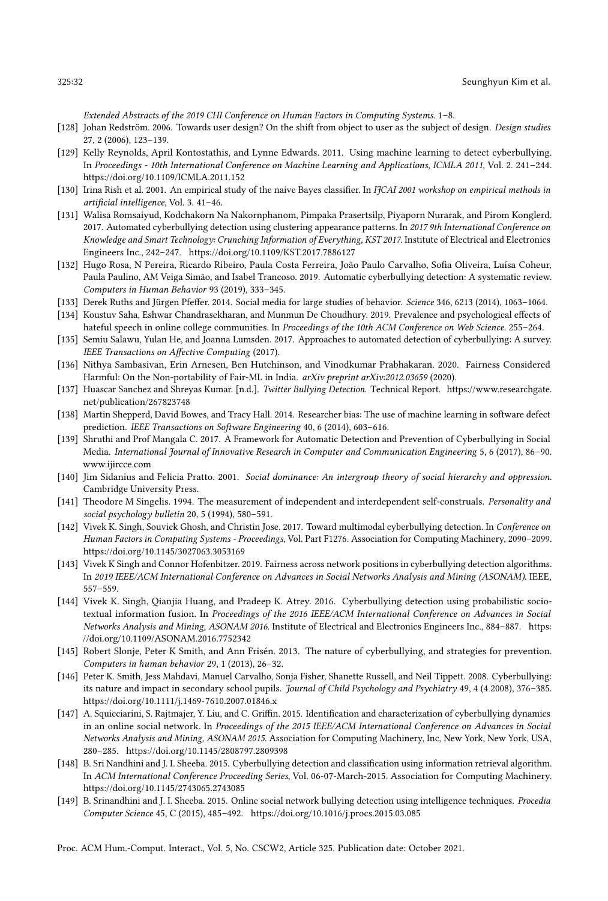Extended Abstracts of the 2019 CHI Conference on Human Factors in Computing Systems. 1–8.

- <span id="page-31-4"></span>[128] Johan Redström. 2006. Towards user design? On the shift from object to user as the subject of design. Design studies 27, 2 (2006), 123–139.
- <span id="page-31-13"></span>[129] Kelly Reynolds, April Kontostathis, and Lynne Edwards. 2011. Using machine learning to detect cyberbullying. In Proceedings - 10th International Conference on Machine Learning and Applications, ICMLA 2011, Vol. 2. 241–244. <https://doi.org/10.1109/ICMLA.2011.152>
- <span id="page-31-15"></span>[130] Irina Rish et al. 2001. An empirical study of the naive Bayes classifier. In IJCAI 2001 workshop on empirical methods in artificial intelligence, Vol. 3. 41–46.
- <span id="page-31-6"></span>[131] Walisa Romsaiyud, Kodchakorn Na Nakornphanom, Pimpaka Prasertsilp, Piyaporn Nurarak, and Pirom Konglerd. 2017. Automated cyberbullying detection using clustering appearance patterns. In 2017 9th International Conference on Knowledge and Smart Technology: Crunching Information of Everything, KST 2017. Institute of Electrical and Electronics Engineers Inc., 242–247.<https://doi.org/10.1109/KST.2017.7886127>
- <span id="page-31-1"></span>[132] Hugo Rosa, N Pereira, Ricardo Ribeiro, Paula Costa Ferreira, João Paulo Carvalho, Sofia Oliveira, Luísa Coheur, Paula Paulino, AM Veiga Simão, and Isabel Trancoso. 2019. Automatic cyberbullying detection: A systematic review. Computers in Human Behavior 93 (2019), 333–345.
- <span id="page-31-17"></span>[133] Derek Ruths and Jürgen Pfeffer. 2014. Social media for large studies of behavior. Science 346, 6213 (2014), 1063–1064.
- <span id="page-31-20"></span>[134] Koustuv Saha, Eshwar Chandrasekharan, and Munmun De Choudhury. 2019. Prevalence and psychological effects of hateful speech in online college communities. In Proceedings of the 10th ACM Conference on Web Science. 255–264.
- <span id="page-31-2"></span>[135] Semiu Salawu, Yulan He, and Joanna Lumsden. 2017. Approaches to automated detection of cyberbullying: A survey. IEEE Transactions on Affective Computing (2017).
- <span id="page-31-3"></span>[136] Nithya Sambasivan, Erin Arnesen, Ben Hutchinson, and Vinodkumar Prabhakaran. 2020. Fairness Considered Harmful: On the Non-portability of Fair-ML in India. arXiv preprint arXiv:2012.03659 (2020).
- <span id="page-31-7"></span>[137] Huascar Sanchez and Shreyas Kumar. [n.d.]. Twitter Bullying Detection. Technical Report. [https://www.researchgate.](https://www.researchgate.net/publication/267823748) [net/publication/267823748](https://www.researchgate.net/publication/267823748)
- <span id="page-31-19"></span>[138] Martin Shepperd, David Bowes, and Tracy Hall. 2014. Researcher bias: The use of machine learning in software defect prediction. IEEE Transactions on Software Engineering 40, 6 (2014), 603–616.
- <span id="page-31-14"></span>[139] Shruthi and Prof Mangala C. 2017. A Framework for Automatic Detection and Prevention of Cyberbullying in Social Media. International Journal of Innovative Research in Computer and Communication Engineering 5, 6 (2017), 86–90. <www.ijircce.com>
- <span id="page-31-5"></span>[140] Jim Sidanius and Felicia Pratto. 2001. Social dominance: An intergroup theory of social hierarchy and oppression. Cambridge University Press.
- <span id="page-31-18"></span>[141] Theodore M Singelis. 1994. The measurement of independent and interdependent self-construals. Personality and social psychology bulletin 20, 5 (1994), 580–591.
- <span id="page-31-8"></span>[142] Vivek K. Singh, Souvick Ghosh, and Christin Jose. 2017. Toward multimodal cyberbullying detection. In Conference on Human Factors in Computing Systems - Proceedings, Vol. Part F1276. Association for Computing Machinery, 2090–2099. <https://doi.org/10.1145/3027063.3053169>
- <span id="page-31-21"></span>[143] Vivek K Singh and Connor Hofenbitzer. 2019. Fairness across network positions in cyberbullying detection algorithms. In 2019 IEEE/ACM International Conference on Advances in Social Networks Analysis and Mining (ASONAM). IEEE, 557–559.
- <span id="page-31-9"></span>[144] Vivek K. Singh, Qianjia Huang, and Pradeep K. Atrey. 2016. Cyberbullying detection using probabilistic sociotextual information fusion. In Proceedings of the 2016 IEEE/ACM International Conference on Advances in Social Networks Analysis and Mining, ASONAM 2016. Institute of Electrical and Electronics Engineers Inc., 884–887. [https:](https://doi.org/10.1109/ASONAM.2016.7752342) [//doi.org/10.1109/ASONAM.2016.7752342](https://doi.org/10.1109/ASONAM.2016.7752342)
- <span id="page-31-16"></span>[145] Robert Slonje, Peter K Smith, and Ann Frisén. 2013. The nature of cyberbullying, and strategies for prevention. Computers in human behavior 29, 1 (2013), 26–32.
- <span id="page-31-0"></span>[146] Peter K. Smith, Jess Mahdavi, Manuel Carvalho, Sonja Fisher, Shanette Russell, and Neil Tippett. 2008. Cyberbullying: its nature and impact in secondary school pupils. Journal of Child Psychology and Psychiatry 49, 4 (4 2008), 376-385. <https://doi.org/10.1111/j.1469-7610.2007.01846.x>
- <span id="page-31-10"></span>[147] A. Squicciarini, S. Rajtmajer, Y. Liu, and C. Griffin. 2015. Identification and characterization of cyberbullying dynamics in an online social network. In Proceedings of the 2015 IEEE/ACM International Conference on Advances in Social Networks Analysis and Mining, ASONAM 2015. Association for Computing Machinery, Inc, New York, New York, USA, 280–285.<https://doi.org/10.1145/2808797.2809398>
- <span id="page-31-12"></span>[148] B. Sri Nandhini and J. I. Sheeba. 2015. Cyberbullying detection and classification using information retrieval algorithm. In ACM International Conference Proceeding Series, Vol. 06-07-March-2015. Association for Computing Machinery. <https://doi.org/10.1145/2743065.2743085>
- <span id="page-31-11"></span>[149] B. Srinandhini and J. I. Sheeba. 2015. Online social network bullying detection using intelligence techniques. Procedia Computer Science 45, C (2015), 485–492.<https://doi.org/10.1016/j.procs.2015.03.085>

Proc. ACM Hum.-Comput. Interact., Vol. 5, No. CSCW2, Article 325. Publication date: October 2021.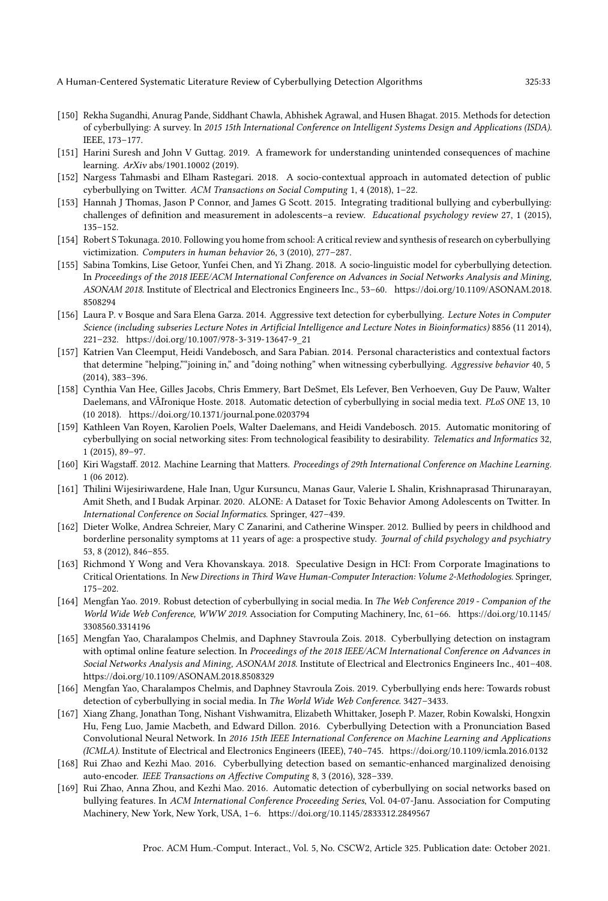- <span id="page-32-4"></span>[150] Rekha Sugandhi, Anurag Pande, Siddhant Chawla, Abhishek Agrawal, and Husen Bhagat. 2015. Methods for detection of cyberbullying: A survey. In 2015 15th International Conference on Intelligent Systems Design and Applications (ISDA). IEEE, 173–177.
- <span id="page-32-6"></span>[151] Harini Suresh and John V Guttag. 2019. A framework for understanding unintended consequences of machine learning. ArXiv abs/1901.10002 (2019).
- <span id="page-32-7"></span>[152] Nargess Tahmasbi and Elham Rastegari. 2018. A socio-contextual approach in automated detection of public cyberbullying on Twitter. ACM Transactions on Social Computing 1, 4 (2018), 1-22.
- <span id="page-32-1"></span>[153] Hannah J Thomas, Jason P Connor, and James G Scott. 2015. Integrating traditional bullying and cyberbullying: challenges of definition and measurement in adolescents–a review. Educational psychology review 27, 1 (2015), 135–152.
- <span id="page-32-5"></span>[154] Robert S Tokunaga. 2010. Following you home from school: A critical review and synthesis of research on cyberbullying victimization. Computers in human behavior 26, 3 (2010), 277–287.
- <span id="page-32-8"></span>[155] Sabina Tomkins, Lise Getoor, Yunfei Chen, and Yi Zhang. 2018. A socio-linguistic model for cyberbullying detection. In Proceedings of the 2018 IEEE/ACM International Conference on Advances in Social Networks Analysis and Mining, ASONAM 2018. Institute of Electrical and Electronics Engineers Inc., 53–60. [https://doi.org/10.1109/ASONAM.2018.](https://doi.org/10.1109/ASONAM.2018.8508294) [8508294](https://doi.org/10.1109/ASONAM.2018.8508294)
- <span id="page-32-9"></span>[156] Laura P. v Bosque and Sara Elena Garza. 2014. Aggressive text detection for cyberbullying. Lecture Notes in Computer Science (including subseries Lecture Notes in Artificial Intelligence and Lecture Notes in Bioinformatics) 8856 (11 2014), 221–232. [https://doi.org/10.1007/978-3-319-13647-9\\_21](https://doi.org/10.1007/978-3-319-13647-9_21)
- <span id="page-32-2"></span>[157] Katrien Van Cleemput, Heidi Vandebosch, and Sara Pabian. 2014. Personal characteristics and contextual factors that determine "helping,""joining in," and "doing nothing" when witnessing cyberbullying. Aggressive behavior 40, 5 (2014), 383–396.
- <span id="page-32-10"></span>[158] Cynthia Van Hee, Gilles Jacobs, Chris Emmery, Bart DeSmet, Els Lefever, Ben Verhoeven, Guy De Pauw, Walter Daelemans, and VÃľronique Hoste. 2018. Automatic detection of cyberbullying in social media text. PLoS ONE 13, 10 (10 2018).<https://doi.org/10.1371/journal.pone.0203794>
- <span id="page-32-3"></span>[159] Kathleen Van Royen, Karolien Poels, Walter Daelemans, and Heidi Vandebosch. 2015. Automatic monitoring of cyberbullying on social networking sites: From technological feasibility to desirability. Telematics and Informatics 32, 1 (2015), 89–97.
- <span id="page-32-19"></span>[160] Kiri Wagstaff. 2012. Machine Learning that Matters. Proceedings of 29th International Conference on Machine Learning. 1 (06 2012).
- <span id="page-32-16"></span>[161] Thilini Wijesiriwardene, Hale Inan, Ugur Kursuncu, Manas Gaur, Valerie L Shalin, Krishnaprasad Thirunarayan, Amit Sheth, and I Budak Arpinar. 2020. ALONE: A Dataset for Toxic Behavior Among Adolescents on Twitter. In International Conference on Social Informatics. Springer, 427–439.
- <span id="page-32-0"></span>[162] Dieter Wolke, Andrea Schreier, Mary C Zanarini, and Catherine Winsper. 2012. Bullied by peers in childhood and borderline personality symptoms at 11 years of age: a prospective study. Journal of child psychology and psychiatry 53, 8 (2012), 846–855.
- <span id="page-32-18"></span>[163] Richmond Y Wong and Vera Khovanskaya. 2018. Speculative Design in HCI: From Corporate Imaginations to Critical Orientations. In New Directions in Third Wave Human-Computer Interaction: Volume 2-Methodologies. Springer, 175–202.
- <span id="page-32-11"></span>[164] Mengfan Yao. 2019. Robust detection of cyberbullying in social media. In The Web Conference 2019 - Companion of the World Wide Web Conference, WWW 2019. Association for Computing Machinery, Inc, 61–66. [https://doi.org/10.1145/](https://doi.org/10.1145/3308560.3314196) [3308560.3314196](https://doi.org/10.1145/3308560.3314196)
- <span id="page-32-13"></span>[165] Mengfan Yao, Charalampos Chelmis, and Daphney Stavroula Zois. 2018. Cyberbullying detection on instagram with optimal online feature selection. In Proceedings of the 2018 IEEE/ACM International Conference on Advances in Social Networks Analysis and Mining, ASONAM 2018. Institute of Electrical and Electronics Engineers Inc., 401–408. <https://doi.org/10.1109/ASONAM.2018.8508329>
- <span id="page-32-17"></span>[166] Mengfan Yao, Charalampos Chelmis, and Daphney Stavroula Zois. 2019. Cyberbullying ends here: Towards robust detection of cyberbullying in social media. In The World Wide Web Conference. 3427–3433.
- <span id="page-32-14"></span>[167] Xiang Zhang, Jonathan Tong, Nishant Vishwamitra, Elizabeth Whittaker, Joseph P. Mazer, Robin Kowalski, Hongxin Hu, Feng Luo, Jamie Macbeth, and Edward Dillon. 2016. Cyberbullying Detection with a Pronunciation Based Convolutional Neural Network. In 2016 15th IEEE International Conference on Machine Learning and Applications (ICMLA). Institute of Electrical and Electronics Engineers (IEEE), 740–745.<https://doi.org/10.1109/icmla.2016.0132>
- <span id="page-32-12"></span>[168] Rui Zhao and Kezhi Mao. 2016. Cyberbullying detection based on semantic-enhanced marginalized denoising auto-encoder. IEEE Transactions on Affective Computing 8, 3 (2016), 328–339.
- <span id="page-32-15"></span>[169] Rui Zhao, Anna Zhou, and Kezhi Mao. 2016. Automatic detection of cyberbullying on social networks based on bullying features. In ACM International Conference Proceeding Series, Vol. 04-07-Janu. Association for Computing Machinery, New York, New York, USA, 1–6.<https://doi.org/10.1145/2833312.2849567>